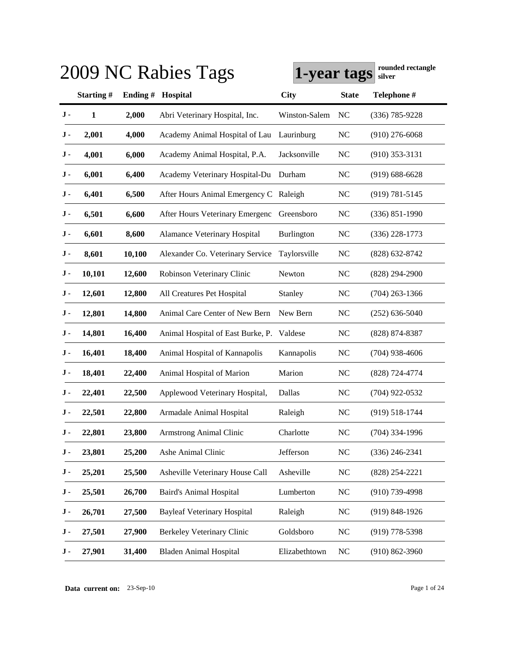|     |           |         | 2009 NC Rabies Tags                | 1-year tags       |                | rounded rectangle<br>silver |
|-----|-----------|---------|------------------------------------|-------------------|----------------|-----------------------------|
|     | Starting# | Ending# | Hospital                           | <b>City</b>       | <b>State</b>   | Telephone #                 |
| J - | 1         | 2,000   | Abri Veterinary Hospital, Inc.     | Winston-Salem     | NC             | $(336) 785 - 9228$          |
| J - | 2,001     | 4,000   | Academy Animal Hospital of Lau     | Laurinburg        | <b>NC</b>      | $(910)$ 276-6068            |
| J - | 4,001     | 6,000   | Academy Animal Hospital, P.A.      | Jacksonville      | <b>NC</b>      | $(910)$ 353-3131            |
| J - | 6,001     | 6,400   | Academy Veterinary Hospital-Du     | Durham            | <b>NC</b>      | $(919) 688 - 6628$          |
| J - | 6,401     | 6,500   | After Hours Animal Emergency C     | Raleigh           | <b>NC</b>      | $(919) 781 - 5145$          |
| J - | 6,501     | 6,600   | After Hours Veterinary Emergenc    | Greensboro        | <b>NC</b>      | $(336) 851 - 1990$          |
| J - | 6,601     | 8,600   | Alamance Veterinary Hospital       | <b>Burlington</b> | <b>NC</b>      | $(336)$ 228-1773            |
| J - | 8,601     | 10,100  | Alexander Co. Veterinary Service   | Taylorsville      | <b>NC</b>      | $(828)$ 632-8742            |
| J - | 10,101    | 12,600  | Robinson Veterinary Clinic         | Newton            | <b>NC</b>      | $(828)$ 294-2900            |
| J - | 12,601    | 12,800  | All Creatures Pet Hospital         | Stanley           | <b>NC</b>      | $(704)$ 263-1366            |
| J - | 12,801    | 14,800  | Animal Care Center of New Bern     | New Bern          | <b>NC</b>      | $(252)$ 636-5040            |
| J - | 14,801    | 16,400  | Animal Hospital of East Burke, P.  | Valdese           | <b>NC</b>      | (828) 874-8387              |
| J - | 16,401    | 18,400  | Animal Hospital of Kannapolis      | Kannapolis        | <b>NC</b>      | $(704)$ 938-4606            |
| J - | 18,401    | 22,400  | Animal Hospital of Marion          | Marion            | <b>NC</b>      | $(828)$ 724-4774            |
| J - | 22,401    | 22,500  | Applewood Veterinary Hospital,     | Dallas            | N <sub>C</sub> | $(704)$ 922-0532            |
| J - | 22,501    | 22,800  | Armadale Animal Hospital           | Raleigh           | N <sub>C</sub> | $(919) 518 - 1744$          |
| J-  | 22,801    | 23,800  | Armstrong Animal Clinic            | Charlotte         | N <sub>C</sub> | $(704)$ 334-1996            |
| J - | 23,801    | 25,200  | Ashe Animal Clinic                 | Jefferson         | NC             | $(336)$ 246-2341            |
| J-  | 25,201    | 25,500  | Asheville Veterinary House Call    | Asheville         | <b>NC</b>      | $(828)$ 254-2221            |
| J-  | 25,501    | 26,700  | <b>Baird's Animal Hospital</b>     | Lumberton         | $NC$           | $(910)$ 739-4998            |
| J - | 26,701    | 27,500  | <b>Bayleaf Veterinary Hospital</b> | Raleigh           | NC             | $(919)$ 848-1926            |
| J - | 27,501    | 27,900  | <b>Berkeley Veterinary Clinic</b>  | Goldsboro         | $NC$           | $(919)$ 778-5398            |
| J - | 27,901    | 31,400  | <b>Bladen Animal Hospital</b>      | Elizabethtown     | NC             | $(910) 862 - 3960$          |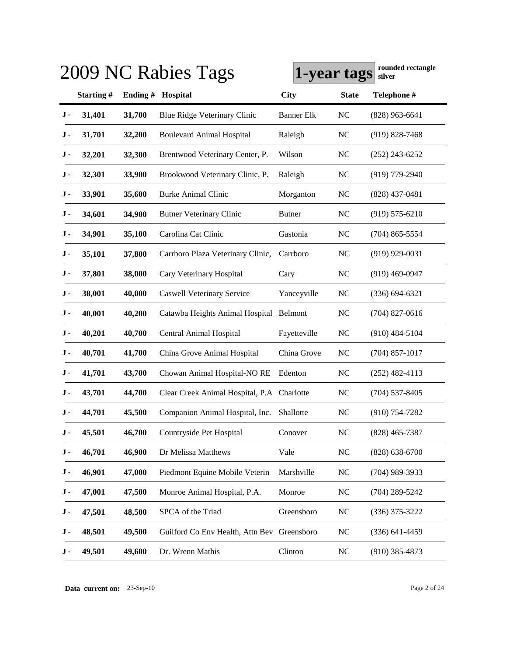|     |           |          | 2009 NC Rabies Tags                         | 1-year tags       |                | rounded rectangle<br>silver |
|-----|-----------|----------|---------------------------------------------|-------------------|----------------|-----------------------------|
|     | Starting# | Ending # | Hospital                                    | <b>City</b>       | <b>State</b>   | Telephone #                 |
| J - | 31,401    | 31,700   | Blue Ridge Veterinary Clinic                | <b>Banner Elk</b> | <b>NC</b>      | $(828)$ 963-6641            |
| J - | 31,701    | 32,200   | <b>Boulevard Animal Hospital</b>            | Raleigh           | <b>NC</b>      | $(919)$ 828-7468            |
| J - | 32,201    | 32,300   | Brentwood Veterinary Center, P.             | Wilson            | N <sub>C</sub> | $(252)$ 243-6252            |
| J - | 32,301    | 33,900   | Brookwood Veterinary Clinic, P.             | Raleigh           | N <sub>C</sub> | $(919)$ 779-2940            |
| J - | 33,901    | 35,600   | <b>Burke Animal Clinic</b>                  | Morganton         | <b>NC</b>      | $(828)$ 437-0481            |
| J - | 34,601    | 34,900   | <b>Butner Veterinary Clinic</b>             | <b>Butner</b>     | <b>NC</b>      | $(919) 575 - 6210$          |
| J - | 34,901    | 35,100   | Carolina Cat Clinic                         | Gastonia          | <b>NC</b>      | $(704)$ 865-5554            |
| J - | 35,101    | 37,800   | Carrboro Plaza Veterinary Clinic,           | Carrboro          | <b>NC</b>      | $(919)$ 929-0031            |
| J - | 37,801    | 38,000   | Cary Veterinary Hospital                    | Cary              | <b>NC</b>      | $(919)$ 469-0947            |
| J - | 38,001    | 40,000   | <b>Caswell Veterinary Service</b>           | Yanceyville       | <b>NC</b>      | $(336) 694 - 6321$          |
| J - | 40,001    | 40,200   | Catawba Heights Animal Hospital Belmont     |                   | <b>NC</b>      | $(704)$ 827-0616            |
| J - | 40,201    | 40,700   | Central Animal Hospital                     | Fayetteville      | <b>NC</b>      | $(910)$ 484-5104            |
| J - | 40,701    | 41,700   | China Grove Animal Hospital                 | China Grove       | <b>NC</b>      | $(704)$ 857-1017            |
| J - | 41,701    | 43,700   | Chowan Animal Hospital-NO RE                | Edenton           | <b>NC</b>      | $(252)$ 482-4113            |
| J - | 43,701    | 44,700   | Clear Creek Animal Hospital, P.A Charlotte  |                   | <b>NC</b>      | $(704)$ 537-8405            |
| J - | 44,701    | 45,500   | Companion Animal Hospital, Inc.             | Shallotte         | N <sub>C</sub> | $(910)$ 754-7282            |
| J - | 45,501    | 46,700   | Countryside Pet Hospital                    | Conover           | <b>NC</b>      | $(828)$ 465-7387            |
| J - | 46,701    | 46,900   | Dr Melissa Matthews                         | Vale              | NC             | $(828) 638 - 6700$          |
| J - | 46,901    | 47,000   | Piedmont Equine Mobile Veterin              | Marshville        | NC             | $(704)$ 989-3933            |
| J - | 47,001    | 47,500   | Monroe Animal Hospital, P.A.                | Monroe            | NC             | $(704)$ 289-5242            |
| J - | 47,501    | 48,500   | SPCA of the Triad                           | Greensboro        | NC             | $(336)$ 375-3222            |
| J - | 48,501    | 49,500   | Guilford Co Env Health, Attn Bev Greensboro |                   | NC             | $(336) 641 - 4459$          |
| J - | 49,501    | 49,600   | Dr. Wrenn Mathis                            | Clinton           | $\rm NC$       | $(910)$ 385-4873            |

**Data current on:** 23-Sep-10 Page 2 of 24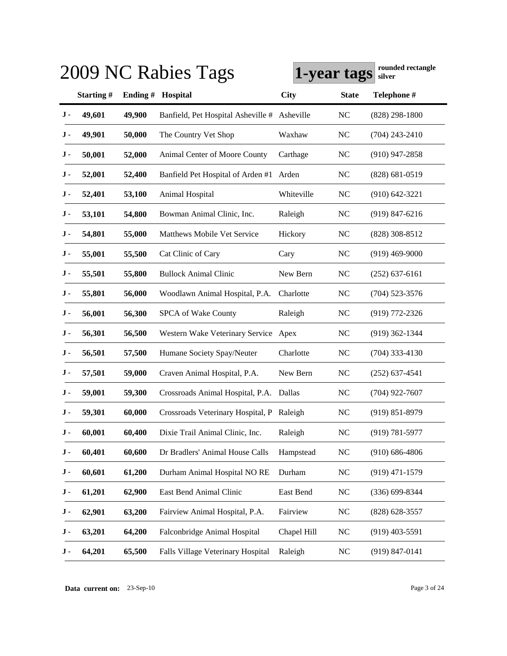|     |           |         | 2009 NC Rabies Tags                       | 1-year tags |                | rounded rectangle<br>silver |
|-----|-----------|---------|-------------------------------------------|-------------|----------------|-----------------------------|
|     | Starting# | Ending# | Hospital                                  | <b>City</b> | <b>State</b>   | Telephone #                 |
| J-  | 49,601    | 49,900  | Banfield, Pet Hospital Asheville #        | Asheville   | <b>NC</b>      | $(828)$ 298-1800            |
| J - | 49,901    | 50,000  | The Country Vet Shop                      | Waxhaw      | <b>NC</b>      | $(704)$ 243-2410            |
| J - | 50,001    | 52,000  | Animal Center of Moore County             | Carthage    | <b>NC</b>      | $(910)$ 947-2858            |
| J - | 52,001    | 52,400  | Banfield Pet Hospital of Arden #1         | Arden       | <b>NC</b>      | $(828) 681 - 0519$          |
| J - | 52,401    | 53,100  | Animal Hospital                           | Whiteville  | N <sub>C</sub> | $(910) 642 - 3221$          |
| J - | 53,101    | 54,800  | Bowman Animal Clinic, Inc.                | Raleigh     | <b>NC</b>      | $(919)$ 847-6216            |
| J - | 54,801    | 55,000  | Matthews Mobile Vet Service               | Hickory     | <b>NC</b>      | $(828)$ 308-8512            |
| J - | 55,001    | 55,500  | Cat Clinic of Cary                        | Cary        | N <sub>C</sub> | $(919)$ 469-9000            |
| J - | 55,501    | 55,800  | <b>Bullock Animal Clinic</b>              | New Bern    | <b>NC</b>      | $(252)$ 637-6161            |
| J - | 55,801    | 56,000  | Woodlawn Animal Hospital, P.A.            | Charlotte   | <b>NC</b>      | $(704)$ 523-3576            |
| J - | 56,001    | 56,300  | SPCA of Wake County                       | Raleigh     | <b>NC</b>      | $(919)$ 772-2326            |
| J - | 56,301    | 56,500  | Western Wake Veterinary Service Apex      |             | <b>NC</b>      | $(919)$ 362-1344            |
| J - | 56,501    | 57,500  | Humane Society Spay/Neuter                | Charlotte   | <b>NC</b>      | $(704)$ 333-4130            |
| J - | 57,501    | 59,000  | Craven Animal Hospital, P.A.              | New Bern    | <b>NC</b>      | $(252)$ 637-4541            |
| J - | 59,001    | 59,300  | Crossroads Animal Hospital, P.A. Dallas   |             | <b>NC</b>      | $(704)$ 922-7607            |
| J - | 59,301    | 60,000  | Crossroads Veterinary Hospital, P Raleigh |             | N <sub>C</sub> | $(919) 851 - 8979$          |
| J-  | 60,001    | 60,400  | Dixie Trail Animal Clinic, Inc.           | Raleigh     | <b>NC</b>      | $(919) 781 - 5977$          |
| J - | 60,401    | 60,600  | Dr Bradlers' Animal House Calls           | Hampstead   | <b>NC</b>      | $(910) 686 - 4806$          |
| J-  | 60,601    | 61,200  | Durham Animal Hospital NO RE              | Durham      | <b>NC</b>      | $(919)$ 471-1579            |
| J - | 61,201    | 62,900  | East Bend Animal Clinic                   | East Bend   | NC             | $(336) 699 - 8344$          |
| J - | 62,901    | 63,200  | Fairview Animal Hospital, P.A.            | Fairview    | <b>NC</b>      | $(828)$ 628-3557            |
| J - | 63,201    | 64,200  | Falconbridge Animal Hospital              | Chapel Hill | <b>NC</b>      | $(919)$ 403-5591            |
| J - | 64,201    | 65,500  | Falls Village Veterinary Hospital         | Raleigh     | <b>NC</b>      | $(919) 847 - 0141$          |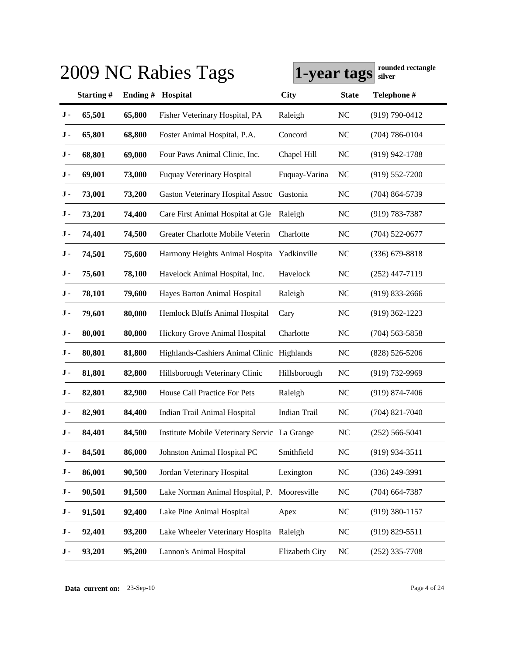|     | rounded rectangle<br>2009 NC Rabies Tags<br>1-year tags<br>silver |          |                                              |                |                |                    |  |  |  |
|-----|-------------------------------------------------------------------|----------|----------------------------------------------|----------------|----------------|--------------------|--|--|--|
|     | Starting#                                                         | Ending # | Hospital                                     | City           | <b>State</b>   | Telephone #        |  |  |  |
| J-  | 65,501                                                            | 65,800   | Fisher Veterinary Hospital, PA               | Raleigh        | <b>NC</b>      | $(919) 790 - 0412$ |  |  |  |
| J - | 65,801                                                            | 68,800   | Foster Animal Hospital, P.A.                 | Concord        | <b>NC</b>      | $(704) 786 - 0104$ |  |  |  |
| J - | 68,801                                                            | 69,000   | Four Paws Animal Clinic, Inc.                | Chapel Hill    | <b>NC</b>      | $(919)$ 942-1788   |  |  |  |
| J - | 69,001                                                            | 73,000   | <b>Fuquay Veterinary Hospital</b>            | Fuquay-Varina  | N <sub>C</sub> | $(919) 552 - 7200$ |  |  |  |
| J - | 73,001                                                            | 73,200   | <b>Gaston Veterinary Hospital Assoc</b>      | Gastonia       | <b>NC</b>      | $(704)$ 864-5739   |  |  |  |
| J - | 73,201                                                            | 74,400   | Care First Animal Hospital at Gle            | Raleigh        | <b>NC</b>      | $(919) 783 - 7387$ |  |  |  |
| J - | 74,401                                                            | 74,500   | Greater Charlotte Mobile Veterin             | Charlotte      | <b>NC</b>      | $(704)$ 522-0677   |  |  |  |
| J - | 74,501                                                            | 75,600   | Harmony Heights Animal Hospita Yadkinville   |                | <b>NC</b>      | $(336)$ 679-8818   |  |  |  |
| J - | 75,601                                                            | 78,100   | Havelock Animal Hospital, Inc.               | Havelock       | <b>NC</b>      | $(252)$ 447-7119   |  |  |  |
| J - | 78,101                                                            | 79,600   | Hayes Barton Animal Hospital                 | Raleigh        | <b>NC</b>      | $(919)$ 833-2666   |  |  |  |
| J - | 79,601                                                            | 80,000   | Hemlock Bluffs Animal Hospital               | Cary           | <b>NC</b>      | $(919)$ 362-1223   |  |  |  |
| J - | 80,001                                                            | 80,800   | Hickory Grove Animal Hospital                | Charlotte      | <b>NC</b>      | $(704)$ 563-5858   |  |  |  |
| J - | 80,801                                                            | 81,800   | Highlands-Cashiers Animal Clinic Highlands   |                | <b>NC</b>      | $(828) 526 - 5206$ |  |  |  |
| J - | 81,801                                                            | 82,800   | Hillsborough Veterinary Clinic               | Hillsborough   | <b>NC</b>      | $(919) 732 - 9969$ |  |  |  |
| J - | 82,801                                                            | 82,900   | House Call Practice For Pets                 | Raleigh        | <b>NC</b>      | $(919) 874 - 7406$ |  |  |  |
| J - | 82,901                                                            | 84,400   | Indian Trail Animal Hospital                 | Indian Trail   | N <sub>C</sub> | $(704)$ 821-7040   |  |  |  |
| J-  | 84,401                                                            | 84,500   | Institute Mobile Veterinary Servic La Grange |                | <b>NC</b>      | $(252) 566 - 5041$ |  |  |  |
| J - | 84,501                                                            | 86,000   | Johnston Animal Hospital PC                  | Smithfield     | NC             | $(919)$ 934-3511   |  |  |  |
| J-  | 86,001                                                            | 90,500   | Jordan Veterinary Hospital                   | Lexington      | <b>NC</b>      | $(336)$ 249-3991   |  |  |  |
| J - | 90,501                                                            | 91,500   | Lake Norman Animal Hospital, P. Mooresville  |                | NC             | $(704)$ 664-7387   |  |  |  |
| J - | 91,501                                                            | 92,400   | Lake Pine Animal Hospital                    | Apex           | NC             | $(919)$ 380-1157   |  |  |  |
| J - | 92,401                                                            | 93,200   | Lake Wheeler Veterinary Hospita              | Raleigh        | NC             | $(919) 829 - 5511$ |  |  |  |
| J - | 93,201                                                            | 95,200   | Lannon's Animal Hospital                     | Elizabeth City | <b>NC</b>      | $(252)$ 335-7708   |  |  |  |

**Data current on:** 23-Sep-10 Page 4 of 24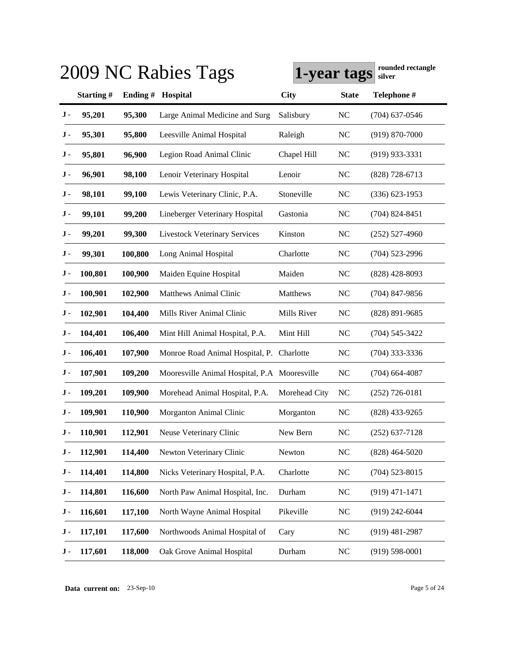|     |           |          | 2009 NC Rabies Tags                          | 1-year tags   |                | rounded rectangle<br>silver |
|-----|-----------|----------|----------------------------------------------|---------------|----------------|-----------------------------|
|     | Starting# | Ending # | Hospital                                     | <b>City</b>   | <b>State</b>   | Telephone #                 |
| J - | 95,201    | 95,300   | Large Animal Medicine and Surg               | Salisbury     | <b>NC</b>      | $(704)$ 637-0546            |
| J - | 95,301    | 95,800   | Leesville Animal Hospital                    | Raleigh       | <b>NC</b>      | $(919) 870 - 7000$          |
| J - | 95,801    | 96,900   | Legion Road Animal Clinic                    | Chapel Hill   | <b>NC</b>      | $(919)$ 933-3331            |
| J - | 96,901    | 98,100   | Lenoir Veterinary Hospital                   | Lenoir        | <b>NC</b>      | $(828)$ 728-6713            |
| J - | 98,101    | 99,100   | Lewis Veterinary Clinic, P.A.                | Stoneville    | <b>NC</b>      | $(336)$ 623-1953            |
| J - | 99,101    | 99,200   | Lineberger Veterinary Hospital               | Gastonia      | <b>NC</b>      | $(704)$ 824-8451            |
| J - | 99,201    | 99,300   | <b>Livestock Veterinary Services</b>         | Kinston       | <b>NC</b>      | $(252)$ 527-4960            |
| J - | 99,301    | 100,800  | Long Animal Hospital                         | Charlotte     | <b>NC</b>      | $(704)$ 523-2996            |
| J - | 100,801   | 100,900  | Maiden Equine Hospital                       | Maiden        | <b>NC</b>      | $(828)$ 428-8093            |
| J - | 100,901   | 102,900  | <b>Matthews Animal Clinic</b>                | Matthews      | <b>NC</b>      | $(704)$ 847-9856            |
| J - | 102,901   | 104,400  | Mills River Animal Clinic                    | Mills River   | N <sub>C</sub> | (828) 891-9685              |
| J - | 104,401   | 106,400  | Mint Hill Animal Hospital, P.A.              | Mint Hill     | <b>NC</b>      | $(704)$ 545-3422            |
| J - | 106,401   | 107,900  | Monroe Road Animal Hospital, P. Charlotte    |               | <b>NC</b>      | $(704)$ 333-3336            |
| J - | 107,901   | 109,200  | Mooresville Animal Hospital, P.A Mooresville |               | <b>NC</b>      | $(704)$ 664-4087            |
| J - | 109,201   | 109,900  | Morehead Animal Hospital, P.A.               | Morehead City | <b>NC</b>      | $(252)$ 726-0181            |
| J - | 109,901   | 110,900  | Morganton Animal Clinic                      | Morganton     | N <sub>C</sub> | $(828)$ 433-9265            |
| J - | 110,901   | 112,901  | Neuse Veterinary Clinic                      | New Bern      | <b>NC</b>      | $(252)$ 637-7128            |
| J - | 112,901   | 114,400  | Newton Veterinary Clinic                     | Newton        | NC             | $(828)$ 464-5020            |
| J - | 114,401   | 114,800  | Nicks Veterinary Hospital, P.A.              | Charlotte     | <b>NC</b>      | $(704)$ 523-8015            |
| J - | 114,801   | 116,600  | North Paw Animal Hospital, Inc.              | Durham        | <b>NC</b>      | $(919)$ 471-1471            |
| J - | 116,601   | 117,100  | North Wayne Animal Hospital                  | Pikeville     | NC             | $(919)$ 242-6044            |
| J - | 117,101   | 117,600  | Northwoods Animal Hospital of                | Cary          | N <sub>C</sub> | $(919)$ 481-2987            |
| J - | 117,601   | 118,000  | Oak Grove Animal Hospital                    | Durham        | <b>NC</b>      | $(919) 598 - 0001$          |

**Data current on:** 23-Sep-10 Page 5 of 24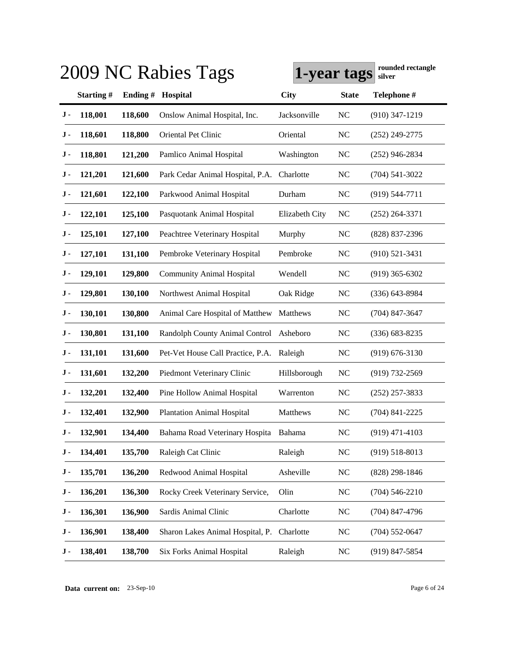|     | rounded rectangle<br>2009 NC Rabies Tags<br>1-year tags<br>silver |         |                                   |                |                |                    |  |  |  |
|-----|-------------------------------------------------------------------|---------|-----------------------------------|----------------|----------------|--------------------|--|--|--|
|     | Starting#                                                         | Ending# | Hospital                          | <b>City</b>    | <b>State</b>   | Telephone #        |  |  |  |
| J - | 118,001                                                           | 118,600 | Onslow Animal Hospital, Inc.      | Jacksonville   | <b>NC</b>      | $(910)$ 347-1219   |  |  |  |
| J - | 118,601                                                           | 118,800 | Oriental Pet Clinic               | Oriental       | <b>NC</b>      | $(252)$ 249-2775   |  |  |  |
| J - | 118,801                                                           | 121,200 | Pamlico Animal Hospital           | Washington     | <b>NC</b>      | $(252)$ 946-2834   |  |  |  |
| J - | 121,201                                                           | 121,600 | Park Cedar Animal Hospital, P.A.  | Charlotte      | <b>NC</b>      | $(704)$ 541-3022   |  |  |  |
| J - | 121,601                                                           | 122,100 | Parkwood Animal Hospital          | Durham         | N <sub>C</sub> | $(919) 544 - 7711$ |  |  |  |
| J - | 122,101                                                           | 125,100 | Pasquotank Animal Hospital        | Elizabeth City | <b>NC</b>      | $(252)$ 264-3371   |  |  |  |
| J - | 125,101                                                           | 127,100 | Peachtree Veterinary Hospital     | Murphy         | <b>NC</b>      | (828) 837-2396     |  |  |  |
| J - | 127,101                                                           | 131,100 | Pembroke Veterinary Hospital      | Pembroke       | NC             | $(910)$ 521-3431   |  |  |  |
| J - | 129,101                                                           | 129,800 | <b>Community Animal Hospital</b>  | Wendell        | <b>NC</b>      | $(919)$ 365-6302   |  |  |  |
| J - | 129,801                                                           | 130,100 | Northwest Animal Hospital         | Oak Ridge      | <b>NC</b>      | $(336)$ 643-8984   |  |  |  |
| J - | 130,101                                                           | 130,800 | Animal Care Hospital of Matthew   | Matthews       | <b>NC</b>      | $(704)$ 847-3647   |  |  |  |
| J - | 130,801                                                           | 131,100 | Randolph County Animal Control    | Asheboro       | <b>NC</b>      | $(336) 683 - 8235$ |  |  |  |
| J - | 131,101                                                           | 131,600 | Pet-Vet House Call Practice, P.A. | Raleigh        | <b>NC</b>      | $(919) 676 - 3130$ |  |  |  |
| J - | 131,601                                                           | 132,200 | Piedmont Veterinary Clinic        | Hillsborough   | <b>NC</b>      | $(919) 732 - 2569$ |  |  |  |
| J - | 132,201                                                           | 132,400 | Pine Hollow Animal Hospital       | Warrenton      | <b>NC</b>      | $(252)$ 257-3833   |  |  |  |
| J - | 132,401                                                           | 132,900 | <b>Plantation Animal Hospital</b> | Matthews       | <b>NC</b>      | $(704)$ 841-2225   |  |  |  |
| J - | 132,901                                                           | 134,400 | Bahama Road Veterinary Hospita    | Bahama         | <b>NC</b>      | $(919)$ 471-4103   |  |  |  |
| J - | 134,401                                                           | 135,700 | Raleigh Cat Clinic                | Raleigh        | NC             | $(919) 518 - 8013$ |  |  |  |
| J - | 135,701                                                           | 136,200 | Redwood Animal Hospital           | Asheville      | NC             | $(828)$ 298-1846   |  |  |  |
| J - | 136,201                                                           | 136,300 | Rocky Creek Veterinary Service,   | Olin           | NC             | $(704) 546 - 2210$ |  |  |  |
| J - | 136,301                                                           | 136,900 | Sardis Animal Clinic              | Charlotte      | NC             | $(704)$ 847-4796   |  |  |  |
| J - | 136,901                                                           | 138,400 | Sharon Lakes Animal Hospital, P.  | Charlotte      | NC             | $(704) 552 - 0647$ |  |  |  |
| J - | 138,401                                                           | 138,700 | Six Forks Animal Hospital         | Raleigh        | $\rm NC$       | $(919)$ 847-5854   |  |  |  |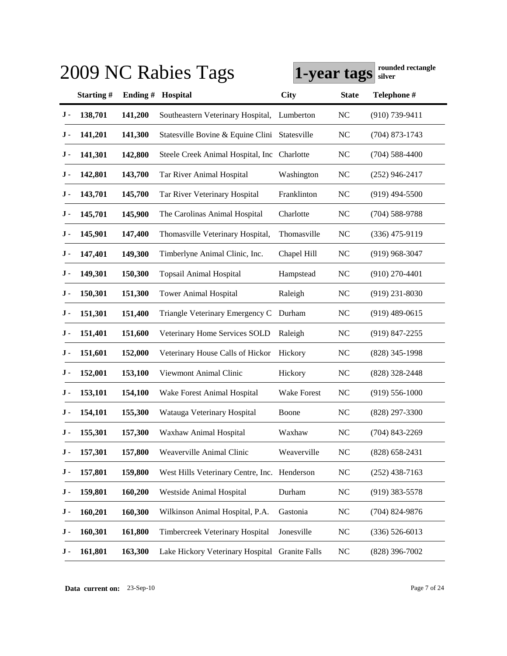|           |           |          | 2009 NC Rabies Tags                            | 1-year tags        |                | rounded rectangle<br>silver |
|-----------|-----------|----------|------------------------------------------------|--------------------|----------------|-----------------------------|
|           | Starting# | Ending # | Hospital                                       | <b>City</b>        | <b>State</b>   | Telephone #                 |
| J -       | 138,701   | 141,200  | Southeastern Veterinary Hospital,              | Lumberton          | <b>NC</b>      | $(910)$ 739-9411            |
| J -       | 141,201   | 141,300  | Statesville Bovine & Equine Clini Statesville  |                    | <b>NC</b>      | $(704)$ 873-1743            |
| J -       | 141,301   | 142,800  | Steele Creek Animal Hospital, Inc Charlotte    |                    | <b>NC</b>      | $(704)$ 588-4400            |
| J -       | 142,801   | 143,700  | Tar River Animal Hospital                      | Washington         | <b>NC</b>      | $(252)$ 946-2417            |
| J -       | 143,701   | 145,700  | Tar River Veterinary Hospital                  | Franklinton        | <b>NC</b>      | $(919)$ 494-5500            |
| J -       | 145,701   | 145,900  | The Carolinas Animal Hospital                  | Charlotte          | <b>NC</b>      | $(704)$ 588-9788            |
| J -       | 145,901   | 147,400  | Thomasville Veterinary Hospital,               | Thomasville        | N <sub>C</sub> | $(336)$ 475-9119            |
| J -       | 147,401   | 149,300  | Timberlyne Animal Clinic, Inc.                 | Chapel Hill        | <b>NC</b>      | $(919)$ 968-3047            |
| J -       | 149,301   | 150,300  | <b>Topsail Animal Hospital</b>                 | Hampstead          | <b>NC</b>      | $(910)$ 270-4401            |
| J -       | 150,301   | 151,300  | <b>Tower Animal Hospital</b>                   | Raleigh            | <b>NC</b>      | $(919)$ 231-8030            |
| J -       | 151,301   | 151,400  | Triangle Veterinary Emergency C                | Durham             | <b>NC</b>      | $(919)$ 489-0615            |
| J -       | 151,401   | 151,600  | Veterinary Home Services SOLD                  | Raleigh            | <b>NC</b>      | $(919)$ 847-2255            |
| J -       | 151,601   | 152,000  | Veterinary House Calls of Hickor               | Hickory            | <b>NC</b>      | $(828)$ 345-1998            |
| J -       | 152,001   | 153,100  | Viewmont Animal Clinic                         | Hickory            | <b>NC</b>      | $(828)$ 328-2448            |
| J -       | 153,101   | 154,100  | Wake Forest Animal Hospital                    | <b>Wake Forest</b> | <b>NC</b>      | $(919) 556 - 1000$          |
| J -       | 154,101   | 155,300  | Watauga Veterinary Hospital                    | Boone              | N <sub>C</sub> | $(828)$ 297-3300            |
| J -       | 155,301   | 157,300  | Waxhaw Animal Hospital                         | Waxhaw             | <b>NC</b>      | $(704)$ 843-2269            |
| J -       | 157,301   | 157,800  | Weaverville Animal Clinic                      | Weaverville        | <b>NC</b>      | $(828)$ 658-2431            |
| $\bf J$ - | 157,801   | 159,800  | West Hills Veterinary Centre, Inc. Henderson   |                    | <b>NC</b>      | $(252)$ 438-7163            |
| J -       | 159,801   | 160,200  | Westside Animal Hospital                       | Durham             | <b>NC</b>      | $(919)$ 383-5578            |
| J -       | 160,201   | 160,300  | Wilkinson Animal Hospital, P.A.                | Gastonia           | <b>NC</b>      | $(704)$ 824-9876            |
| J -       | 160,301   | 161,800  | Timbercreek Veterinary Hospital                | Jonesville         | <b>NC</b>      | $(336)$ 526-6013            |
| J -       | 161,801   | 163,300  | Lake Hickory Veterinary Hospital Granite Falls |                    | <b>NC</b>      | $(828)$ 396-7002            |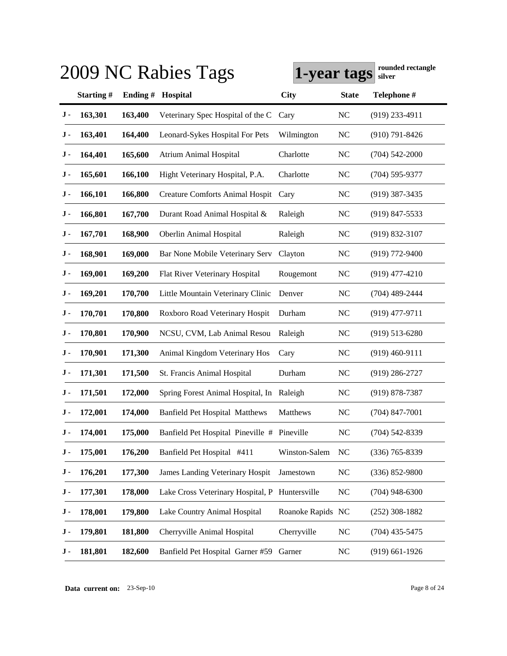|     |           |          | 2009 NC Rabies Tags                            | 1-year tags       |                | rounded rectangle<br>silver |
|-----|-----------|----------|------------------------------------------------|-------------------|----------------|-----------------------------|
|     | Starting# | Ending # | Hospital                                       | City              | <b>State</b>   | Telephone #                 |
| J-  | 163,301   | 163,400  | Veterinary Spec Hospital of the C              | Cary              | <b>NC</b>      | $(919)$ 233-4911            |
| J - | 163,401   | 164,400  | Leonard-Sykes Hospital For Pets                | Wilmington        | <b>NC</b>      | $(910)$ 791-8426            |
| J - | 164,401   | 165,600  | <b>Atrium Animal Hospital</b>                  | Charlotte         | <b>NC</b>      | $(704) 542 - 2000$          |
| J - | 165,601   | 166,100  | Hight Veterinary Hospital, P.A.                | Charlotte         | <b>NC</b>      | $(704)$ 595-9377            |
| J - | 166,101   | 166,800  | <b>Creature Comforts Animal Hospit</b>         | Cary              | <b>NC</b>      | $(919)$ 387-3435            |
| J - | 166,801   | 167,700  | Durant Road Animal Hospital &                  | Raleigh           | <b>NC</b>      | $(919)$ 847-5533            |
| J - | 167,701   | 168,900  | <b>Oberlin Animal Hospital</b>                 | Raleigh           | <b>NC</b>      | $(919) 832 - 3107$          |
| J - | 168,901   | 169,000  | Bar None Mobile Veterinary Serv                | Clayton           | <b>NC</b>      | $(919)$ 772-9400            |
| J - | 169,001   | 169,200  | Flat River Veterinary Hospital                 | Rougemont         | <b>NC</b>      | $(919)$ 477-4210            |
| J - | 169,201   | 170,700  | Little Mountain Veterinary Clinic              | Denver            | <b>NC</b>      | $(704)$ 489-2444            |
| J - | 170,701   | 170,800  | Roxboro Road Veterinary Hospit                 | Durham            | <b>NC</b>      | $(919)$ 477-9711            |
| J - | 170,801   | 170,900  | NCSU, CVM, Lab Animal Resou                    | Raleigh           | <b>NC</b>      | $(919) 513 - 6280$          |
| J - | 170,901   | 171,300  | Animal Kingdom Veterinary Hos                  | Cary              | <b>NC</b>      | $(919)$ 460-9111            |
| J - | 171,301   | 171,500  | St. Francis Animal Hospital                    | Durham            | <b>NC</b>      | $(919)$ 286-2727            |
| J - | 171,501   | 172,000  | Spring Forest Animal Hospital, In              | Raleigh           | <b>NC</b>      | $(919) 878 - 7387$          |
| J - | 172,001   | 174,000  | <b>Banfield Pet Hospital Matthews</b>          | Matthews          | N <sub>C</sub> | $(704)$ 847-7001            |
| J-  | 174,001   | 175,000  | Banfield Pet Hospital Pineville # Pineville    |                   | <b>NC</b>      | $(704)$ 542-8339            |
| J - | 175,001   | 176,200  | Banfield Pet Hospital #411                     | Winston-Salem     | <b>NC</b>      | $(336)$ 765-8339            |
| J - | 176,201   | 177,300  | James Landing Veterinary Hospit                | Jamestown         | <b>NC</b>      | $(336) 852 - 9800$          |
| J - | 177,301   | 178,000  | Lake Cross Veterinary Hospital, P Huntersville |                   | <b>NC</b>      | $(704)$ 948-6300            |
| J - | 178,001   | 179,800  | Lake Country Animal Hospital                   | Roanoke Rapids NC |                | $(252)$ 308-1882            |
| J - | 179,801   | 181,800  | Cherryville Animal Hospital                    | Cherryville       | <b>NC</b>      | $(704)$ 435-5475            |
| J - | 181,801   | 182,600  | Banfield Pet Hospital Garner #59               | Garner            | <b>NC</b>      | $(919)$ 661-1926            |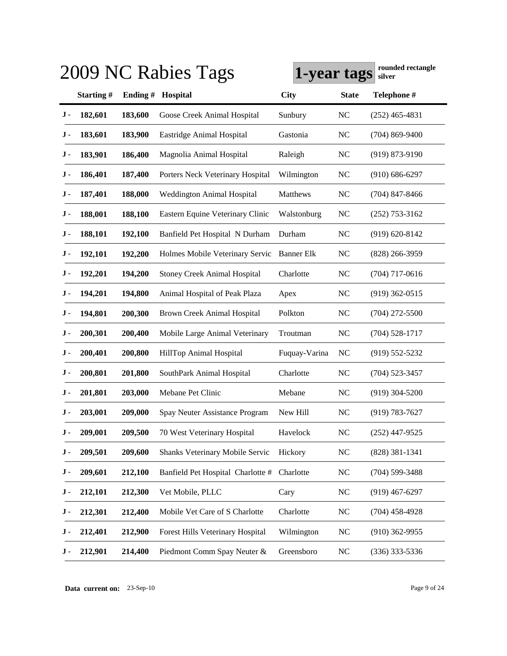|     |           |         | 2009 NC Rabies Tags                 | 1-year tags       |                | rounded rectangle<br>silver |
|-----|-----------|---------|-------------------------------------|-------------------|----------------|-----------------------------|
|     | Starting# | Ending# | Hospital                            | <b>City</b>       | <b>State</b>   | Telephone #                 |
| J-  | 182,601   | 183,600 | Goose Creek Animal Hospital         | Sunbury           | <b>NC</b>      | $(252)$ 465-4831            |
| J - | 183,601   | 183,900 | Eastridge Animal Hospital           | Gastonia          | <b>NC</b>      | $(704)$ 869-9400            |
| J - | 183,901   | 186,400 | Magnolia Animal Hospital            | Raleigh           | <b>NC</b>      | $(919) 873 - 9190$          |
| J - | 186,401   | 187,400 | Porters Neck Veterinary Hospital    | Wilmington        | <b>NC</b>      | $(910) 686 - 6297$          |
| J - | 187,401   | 188,000 | Weddington Animal Hospital          | Matthews          | <b>NC</b>      | $(704)$ 847-8466            |
| J - | 188,001   | 188,100 | Eastern Equine Veterinary Clinic    | Walstonburg       | <b>NC</b>      | $(252)$ 753-3162            |
| J - | 188,101   | 192,100 | Banfield Pet Hospital N Durham      | Durham            | <b>NC</b>      | $(919) 620 - 8142$          |
| J - | 192,101   | 192,200 | Holmes Mobile Veterinary Servic     | <b>Banner Elk</b> | <b>NC</b>      | $(828)$ 266-3959            |
| J - | 192,201   | 194,200 | <b>Stoney Creek Animal Hospital</b> | Charlotte         | <b>NC</b>      | $(704)$ 717-0616            |
| J - | 194,201   | 194,800 | Animal Hospital of Peak Plaza       | Apex              | <b>NC</b>      | $(919)$ 362-0515            |
| J - | 194,801   | 200,300 | <b>Brown Creek Animal Hospital</b>  | Polkton           | <b>NC</b>      | $(704)$ 272-5500            |
| J - | 200,301   | 200,400 | Mobile Large Animal Veterinary      | Troutman          | <b>NC</b>      | $(704)$ 528-1717            |
| J - | 200,401   | 200,800 | HillTop Animal Hospital             | Fuquay-Varina     | N <sub>C</sub> | $(919) 552 - 5232$          |
| J - | 200,801   | 201,800 | SouthPark Animal Hospital           | Charlotte         | <b>NC</b>      | $(704)$ 523-3457            |
| J - | 201,801   | 203,000 | Mebane Pet Clinic                   | Mebane            | <b>NC</b>      | $(919)$ 304-5200            |
| J - | 203,001   | 209,000 | Spay Neuter Assistance Program      | New Hill          | N <sub>C</sub> | $(919) 783 - 7627$          |
| J - | 209,001   | 209,500 | 70 West Veterinary Hospital         | Havelock          | N <sub>C</sub> | $(252)$ 447-9525            |
| J-  | 209,501   | 209,600 | Shanks Veterinary Mobile Servic     | Hickory           | $NC$           | $(828)$ 381-1341            |
| J - | 209,601   | 212,100 | Banfield Pet Hospital Charlotte #   | Charlotte         | <b>NC</b>      | $(704)$ 599-3488            |
| J - | 212,101   | 212,300 | Vet Mobile, PLLC                    | Cary              | N <sub>C</sub> | $(919)$ 467-6297            |
| J - | 212,301   | 212,400 | Mobile Vet Care of S Charlotte      | Charlotte         | NC             | $(704)$ 458-4928            |
| J - | 212,401   | 212,900 | Forest Hills Veterinary Hospital    | Wilmington        | <b>NC</b>      | $(910)$ 362-9955            |
| J - | 212,901   | 214,400 | Piedmont Comm Spay Neuter &         | Greensboro        | $\rm NC$       | $(336)$ 333-5336            |

**Data current on:** 23-Sep-10 Page 9 of 24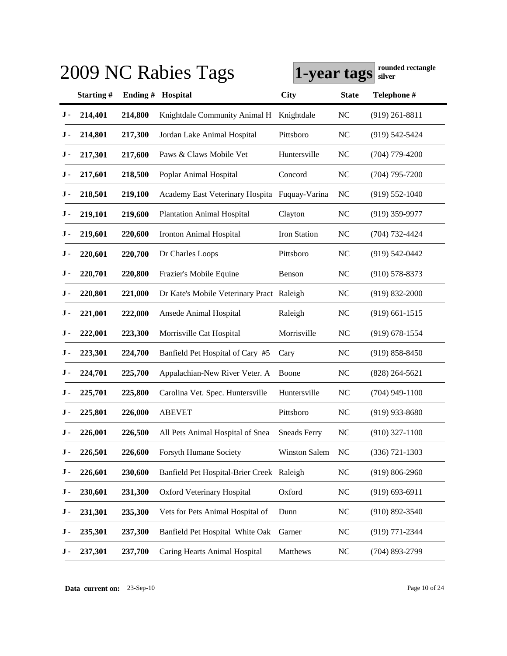|     | rounded rectangle<br>2009 NC Rabies Tags<br>1-year tags<br>silver |          |                                               |                      |              |                    |  |  |  |
|-----|-------------------------------------------------------------------|----------|-----------------------------------------------|----------------------|--------------|--------------------|--|--|--|
|     | Starting#                                                         | Ending # | Hospital                                      | <b>City</b>          | <b>State</b> | Telephone #        |  |  |  |
| J - | 214,401                                                           | 214,800  | Knightdale Community Animal H                 | Knightdale           | <b>NC</b>    | $(919)$ 261-8811   |  |  |  |
| J - | 214,801                                                           | 217,300  | Jordan Lake Animal Hospital                   | Pittsboro            | <b>NC</b>    | $(919) 542 - 5424$ |  |  |  |
| J - | 217,301                                                           | 217,600  | Paws & Claws Mobile Vet                       | Huntersville         | <b>NC</b>    | $(704)$ 779-4200   |  |  |  |
| J - | 217,601                                                           | 218,500  | Poplar Animal Hospital                        | Concord              | <b>NC</b>    | $(704)$ 795-7200   |  |  |  |
| J - | 218,501                                                           | 219,100  | Academy East Veterinary Hospita Fuquay-Varina |                      | <b>NC</b>    | $(919) 552 - 1040$ |  |  |  |
| J - | 219,101                                                           | 219,600  | <b>Plantation Animal Hospital</b>             | Clayton              | <b>NC</b>    | $(919)$ 359-9977   |  |  |  |
| J - | 219,601                                                           | 220,600  | Ironton Animal Hospital                       | Iron Station         | <b>NC</b>    | $(704)$ 732-4424   |  |  |  |
| J - | 220,601                                                           | 220,700  | Dr Charles Loops                              | Pittsboro            | <b>NC</b>    | $(919) 542 - 0442$ |  |  |  |
| J - | 220,701                                                           | 220,800  | Frazier's Mobile Equine                       | Benson               | <b>NC</b>    | $(910)$ 578-8373   |  |  |  |
| J - | 220,801                                                           | 221,000  | Dr Kate's Mobile Veterinary Pract Raleigh     |                      | <b>NC</b>    | $(919) 832 - 2000$ |  |  |  |
| J - | 221,001                                                           | 222,000  | Ansede Animal Hospital                        | Raleigh              | <b>NC</b>    | $(919)$ 661-1515   |  |  |  |
| J - | 222,001                                                           | 223,300  | Morrisville Cat Hospital                      | Morrisville          | <b>NC</b>    | $(919) 678 - 1554$ |  |  |  |
| J - | 223,301                                                           | 224,700  | Banfield Pet Hospital of Cary #5              | Cary                 | <b>NC</b>    | $(919) 858 - 8450$ |  |  |  |
| J - | 224,701                                                           | 225,700  | Appalachian-New River Veter. A                | Boone                | <b>NC</b>    | $(828)$ 264-5621   |  |  |  |
| J - | 225,701                                                           | 225,800  | Carolina Vet. Spec. Huntersville              | Huntersville         | <b>NC</b>    | $(704)$ 949-1100   |  |  |  |
| J - | 225,801                                                           | 226,000  | <b>ABEVET</b>                                 | Pittsboro            | <b>NC</b>    | $(919)$ 933-8680   |  |  |  |
| J - | 226,001                                                           | 226,500  | All Pets Animal Hospital of Snea              | Sneads Ferry         | <b>NC</b>    | $(910)$ 327-1100   |  |  |  |
| J - | 226,501                                                           | 226,600  | <b>Forsyth Humane Society</b>                 | <b>Winston Salem</b> | <b>NC</b>    | $(336) 721 - 1303$ |  |  |  |
| J - | 226,601                                                           | 230,600  | Banfield Pet Hospital-Brier Creek Raleigh     |                      | $NC$         | $(919) 806 - 2960$ |  |  |  |
| J - | 230,601                                                           | 231,300  | Oxford Veterinary Hospital                    | Oxford               | NC           | $(919) 693 - 6911$ |  |  |  |
| J - | 231,301                                                           | 235,300  | Vets for Pets Animal Hospital of              | Dunn                 | NC           | $(910) 892 - 3540$ |  |  |  |
| J - | 235,301                                                           | 237,300  | Banfield Pet Hospital White Oak               | Garner               | <b>NC</b>    | (919) 771-2344     |  |  |  |
| J - | 237,301                                                           | 237,700  | Caring Hearts Animal Hospital                 | Matthews             | <b>NC</b>    | $(704)$ 893-2799   |  |  |  |

**Data current on:** 23-Sep-10 Page 10 of 24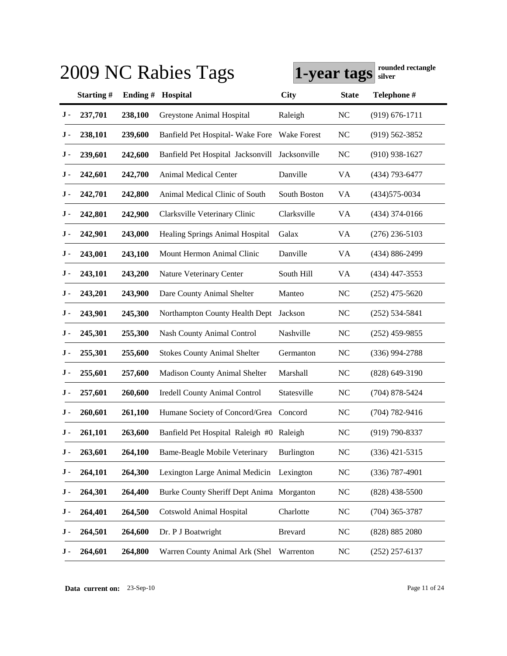|     |           |         | 2009 NC Rabies Tags                       | 1-year tags        |                | rounded rectangle<br>silver |
|-----|-----------|---------|-------------------------------------------|--------------------|----------------|-----------------------------|
|     | Starting# | Ending# | Hospital                                  | <b>City</b>        | <b>State</b>   | Telephone #                 |
| J-  | 237,701   | 238,100 | Greystone Animal Hospital                 | Raleigh            | <b>NC</b>      | $(919) 676 - 1711$          |
| J - | 238,101   | 239,600 | Banfield Pet Hospital- Wake Fore          | <b>Wake Forest</b> | <b>NC</b>      | $(919)$ 562-3852            |
| J - | 239,601   | 242,600 | Banfield Pet Hospital Jacksonvill         | Jacksonville       | <b>NC</b>      | $(910)$ 938-1627            |
| J - | 242,601   | 242,700 | <b>Animal Medical Center</b>              | Danville           | VA             | (434) 793-6477              |
| J - | 242,701   | 242,800 | Animal Medical Clinic of South            | South Boston       | VA             | $(434)575 - 0034$           |
| J - | 242,801   | 242,900 | Clarksville Veterinary Clinic             | Clarksville        | VA             | $(434)$ 374-0166            |
| J - | 242,901   | 243,000 | Healing Springs Animal Hospital           | Galax              | VA             | $(276)$ 236-5103            |
| J - | 243,001   | 243,100 | Mount Hermon Animal Clinic                | Danville           | VA             | (434) 886-2499              |
| J - | 243,101   | 243,200 | Nature Veterinary Center                  | South Hill         | VA             | $(434)$ 447-3553            |
| J - | 243,201   | 243,900 | Dare County Animal Shelter                | Manteo             | <b>NC</b>      | $(252)$ 475-5620            |
| J - | 243,901   | 245,300 | Northampton County Health Dept            | Jackson            | <b>NC</b>      | $(252)$ 534-5841            |
| J - | 245,301   | 255,300 | <b>Nash County Animal Control</b>         | Nashville          | NC             | $(252)$ 459-9855            |
| J - | 255,301   | 255,600 | <b>Stokes County Animal Shelter</b>       | Germanton          | <b>NC</b>      | $(336)$ 994-2788            |
| J - | 255,601   | 257,600 | <b>Madison County Animal Shelter</b>      | Marshall           | <b>NC</b>      | $(828)$ 649-3190            |
| J - | 257,601   | 260,600 | <b>Iredell County Animal Control</b>      | Statesville        | NC             | $(704)$ 878-5424            |
| J - | 260,601   | 261,100 | Humane Society of Concord/Grea            | Concord            | N <sub>C</sub> | $(704) 782 - 9416$          |
| J-  | 261,101   | 263,600 | Banfield Pet Hospital Raleigh #0 Raleigh  |                    | N <sub>C</sub> | $(919) 790 - 8337$          |
| J - | 263,601   | 264,100 | <b>Bame-Beagle Mobile Veterinary</b>      | Burlington         | <b>NC</b>      | $(336)$ 421-5315            |
| J - | 264,101   | 264,300 | Lexington Large Animal Medicin            | Lexington          | <b>NC</b>      | $(336)$ 787-4901            |
| J - | 264,301   | 264,400 | Burke County Sheriff Dept Anima Morganton |                    | <b>NC</b>      | $(828)$ 438-5500            |
| J - | 264,401   | 264,500 | <b>Cotswold Animal Hospital</b>           | Charlotte          | NC             | $(704)$ 365-3787            |
| J - | 264,501   | 264,600 | Dr. P J Boatwright                        | <b>Brevard</b>     | <b>NC</b>      | (828) 885 2080              |
| J - | 264,601   | 264,800 | Warren County Animal Ark (Shel            | Warrenton          | <b>NC</b>      | $(252)$ 257-6137            |

**Data current on:** 23-Sep-10 Page 11 of 24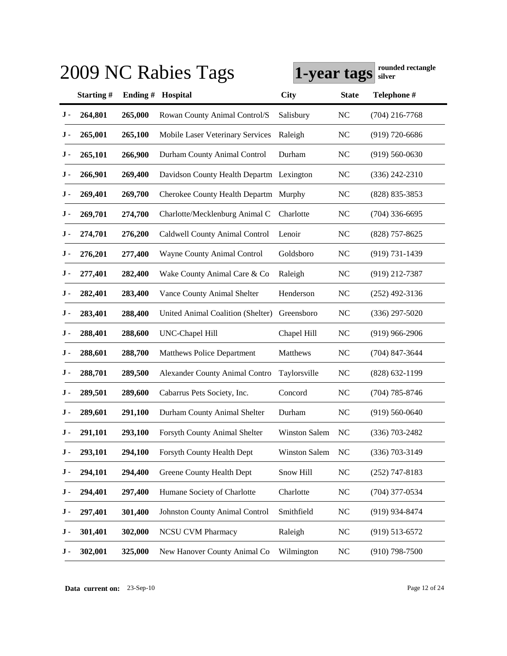|     | rounded rectangle<br>2009 NC Rabies Tags<br>1-year tags<br>silver |          |                                          |                      |                |                    |  |  |  |
|-----|-------------------------------------------------------------------|----------|------------------------------------------|----------------------|----------------|--------------------|--|--|--|
|     | Starting#                                                         | Ending # | Hospital                                 | <b>City</b>          | <b>State</b>   | Telephone #        |  |  |  |
| J - | 264,801                                                           | 265,000  | Rowan County Animal Control/S            | Salisbury            | <b>NC</b>      | $(704)$ 216-7768   |  |  |  |
| J - | 265,001                                                           | 265,100  | Mobile Laser Veterinary Services         | Raleigh              | <b>NC</b>      | $(919)$ 720-6686   |  |  |  |
| J - | 265,101                                                           | 266,900  | Durham County Animal Control             | Durham               | <b>NC</b>      | $(919)$ 560-0630   |  |  |  |
| J - | 266,901                                                           | 269,400  | Davidson County Health Departm Lexington |                      | <b>NC</b>      | $(336)$ 242-2310   |  |  |  |
| J - | 269,401                                                           | 269,700  | Cherokee County Health Departm           | Murphy               | <b>NC</b>      | $(828)$ 835-3853   |  |  |  |
| J - | 269,701                                                           | 274,700  | Charlotte/Mecklenburg Animal C           | Charlotte            | <b>NC</b>      | $(704)$ 336-6695   |  |  |  |
| J - | 274,701                                                           | 276,200  | Caldwell County Animal Control           | Lenoir               | <b>NC</b>      | $(828)$ 757-8625   |  |  |  |
| J - | 276,201                                                           | 277,400  | Wayne County Animal Control              | Goldsboro            | <b>NC</b>      | $(919) 731 - 1439$ |  |  |  |
| J - | 277,401                                                           | 282,400  | Wake County Animal Care & Co             | Raleigh              | <b>NC</b>      | $(919)$ 212-7387   |  |  |  |
| J - | 282,401                                                           | 283,400  | Vance County Animal Shelter              | Henderson            | <b>NC</b>      | $(252)$ 492-3136   |  |  |  |
| J - | 283,401                                                           | 288,400  | <b>United Animal Coalition (Shelter)</b> | Greensboro           | <b>NC</b>      | $(336)$ 297-5020   |  |  |  |
| J - | 288,401                                                           | 288,600  | <b>UNC-Chapel Hill</b>                   | Chapel Hill          | <b>NC</b>      | $(919)$ 966-2906   |  |  |  |
| J - | 288,601                                                           | 288,700  | <b>Matthews Police Department</b>        | Matthews             | <b>NC</b>      | $(704)$ 847-3644   |  |  |  |
| J - | 288,701                                                           | 289,500  | <b>Alexander County Animal Contro</b>    | Taylorsville         | <b>NC</b>      | $(828)$ 632-1199   |  |  |  |
| J - | 289,501                                                           | 289,600  | Cabarrus Pets Society, Inc.              | Concord              | <b>NC</b>      | $(704)$ 785-8746   |  |  |  |
| J - | 289,601                                                           | 291,100  | Durham County Animal Shelter             | Durham               | N <sub>C</sub> | $(919)$ 560-0640   |  |  |  |
| J - | 291,101                                                           | 293,100  | Forsyth County Animal Shelter            | <b>Winston Salem</b> | N <sub>C</sub> | $(336)$ 703-2482   |  |  |  |
| J - | 293,101                                                           | 294,100  | Forsyth County Health Dept               | <b>Winston Salem</b> | <b>NC</b>      | $(336)$ 703-3149   |  |  |  |
| J - | 294,101                                                           | 294,400  | Greene County Health Dept                | Snow Hill            | NC             | $(252)$ 747-8183   |  |  |  |
| J - | 294,401                                                           | 297,400  | Humane Society of Charlotte              | Charlotte            | NC             | $(704)$ 377-0534   |  |  |  |
| J - | 297,401                                                           | 301,400  | <b>Johnston County Animal Control</b>    | Smithfield           | NC             | (919) 934-8474     |  |  |  |
| J - | 301,401                                                           | 302,000  | <b>NCSU CVM Pharmacy</b>                 | Raleigh              | <b>NC</b>      | $(919) 513 - 6572$ |  |  |  |
| J - | 302,001                                                           | 325,000  | New Hanover County Animal Co             | Wilmington           | <b>NC</b>      | $(910)$ 798-7500   |  |  |  |

**Data current on:** 23-Sep-10 Page 12 of 24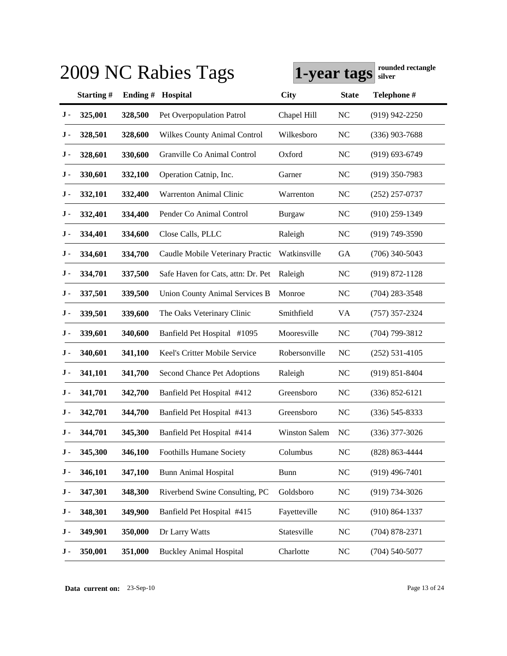|     |           |          | 2009 NC Rabies Tags                   | 1-year tags          |                | rounded rectangle<br>silver |
|-----|-----------|----------|---------------------------------------|----------------------|----------------|-----------------------------|
|     | Starting# | Ending # | Hospital                              | <b>City</b>          | <b>State</b>   | Telephone #                 |
| J - | 325,001   | 328,500  | Pet Overpopulation Patrol             | Chapel Hill          | <b>NC</b>      | $(919)$ 942-2250            |
| J - | 328,501   | 328,600  | <b>Wilkes County Animal Control</b>   | Wilkesboro           | <b>NC</b>      | $(336)$ 903-7688            |
| J - | 328,601   | 330,600  | Granville Co Animal Control           | Oxford               | <b>NC</b>      | $(919) 693 - 6749$          |
| J - | 330,601   | 332,100  | Operation Catnip, Inc.                | Garner               | <b>NC</b>      | $(919)$ 350-7983            |
| J - | 332,101   | 332,400  | <b>Warrenton Animal Clinic</b>        | Warrenton            | <b>NC</b>      | $(252)$ 257-0737            |
| J - | 332,401   | 334,400  | Pender Co Animal Control              | Burgaw               | <b>NC</b>      | $(910)$ 259-1349            |
| J - | 334,401   | 334,600  | Close Calls, PLLC                     | Raleigh              | N <sub>C</sub> | $(919)$ 749-3590            |
| J - | 334,601   | 334,700  | Caudle Mobile Veterinary Practic      | Watkinsville         | <b>GA</b>      | $(706)$ 340-5043            |
| J - | 334,701   | 337,500  | Safe Haven for Cats, attn: Dr. Pet    | Raleigh              | <b>NC</b>      | $(919) 872 - 1128$          |
| J - | 337,501   | 339,500  | <b>Union County Animal Services B</b> | Monroe               | <b>NC</b>      | $(704)$ 283-3548            |
| J - | 339,501   | 339,600  | The Oaks Veterinary Clinic            | Smithfield           | <b>VA</b>      | $(757)$ 357-2324            |
| J - | 339,601   | 340,600  | Banfield Pet Hospital #1095           | Mooresville          | N <sub>C</sub> | $(704)$ 799-3812            |
| J - | 340,601   | 341,100  | Keel's Critter Mobile Service         | Robersonville        | <b>NC</b>      | $(252) 531 - 4105$          |
| J - | 341,101   | 341,700  | Second Chance Pet Adoptions           | Raleigh              | <b>NC</b>      | $(919) 851 - 8404$          |
| J - | 341,701   | 342,700  | Banfield Pet Hospital #412            | Greensboro           | <b>NC</b>      | $(336) 852 - 6121$          |
| J - | 342,701   | 344,700  | Banfield Pet Hospital #413            | Greensboro           | <b>NC</b>      | $(336)$ 545-8333            |
| J - | 344,701   | 345,300  | Banfield Pet Hospital #414            | <b>Winston Salem</b> | N <sub>C</sub> | $(336)$ 377-3026            |
| J - | 345,300   | 346,100  | <b>Foothills Humane Society</b>       | Columbus             | <b>NC</b>      | (828) 863-4444              |
| J - | 346,101   | 347,100  | <b>Bunn Animal Hospital</b>           | <b>Bunn</b>          | NC             | $(919)$ 496-7401            |
| J - | 347,301   | 348,300  | Riverbend Swine Consulting, PC        | Goldsboro            | NC             | $(919) 734 - 3026$          |
| J - | 348,301   | 349,900  | Banfield Pet Hospital #415            | Fayetteville         | NC             | $(910) 864 - 1337$          |
| J - | 349,901   | 350,000  | Dr Larry Watts                        | Statesville          | NC             | $(704)$ 878-2371            |
| J - | 350,001   | 351,000  | <b>Buckley Animal Hospital</b>        | Charlotte            | $NC$           | $(704)$ 540-5077            |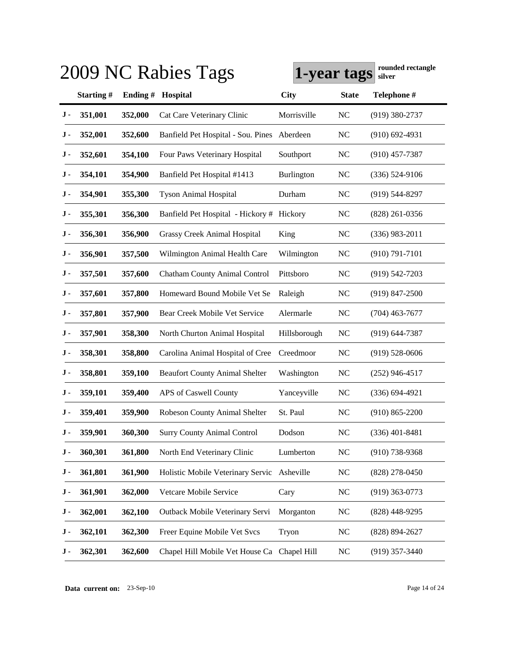|           |           |          | 2009 NC Rabies Tags                         | 1-year tags  |                | rounded rectangle<br>silver |
|-----------|-----------|----------|---------------------------------------------|--------------|----------------|-----------------------------|
|           | Starting# | Ending # | Hospital                                    | <b>City</b>  | <b>State</b>   | Telephone #                 |
| J -       | 351,001   | 352,000  | Cat Care Veterinary Clinic                  | Morrisville  | <b>NC</b>      | $(919)$ 380-2737            |
| J -       | 352,001   | 352,600  | Banfield Pet Hospital - Sou. Pines          | Aberdeen     | <b>NC</b>      | $(910)$ 692-4931            |
| J -       | 352,601   | 354,100  | Four Paws Veterinary Hospital               | Southport    | N <sub>C</sub> | $(910)$ 457-7387            |
| J -       | 354,101   | 354,900  | Banfield Pet Hospital #1413                 | Burlington   | N <sub>C</sub> | $(336) 524-9106$            |
| J -       | 354,901   | 355,300  | <b>Tyson Animal Hospital</b>                | Durham       | <b>NC</b>      | $(919)$ 544-8297            |
| J -       | 355,301   | 356,300  | Banfield Pet Hospital - Hickory # Hickory   |              | <b>NC</b>      | $(828)$ 261-0356            |
| J -       | 356,301   | 356,900  | <b>Grassy Creek Animal Hospital</b>         | King         | <b>NC</b>      | $(336)$ 983-2011            |
| J -       | 356,901   | 357,500  | Wilmington Animal Health Care               | Wilmington   | <b>NC</b>      | $(910) 791 - 7101$          |
| J -       | 357,501   | 357,600  | Chatham County Animal Control               | Pittsboro    | <b>NC</b>      | $(919) 542 - 7203$          |
| J -       | 357,601   | 357,800  | Homeward Bound Mobile Vet Se                | Raleigh      | N <sub>C</sub> | $(919)$ 847-2500            |
| J -       | 357,801   | 357,900  | Bear Creek Mobile Vet Service               | Alermarle    | <b>NC</b>      | $(704)$ 463-7677            |
| J -       | 357,901   | 358,300  | North Churton Animal Hospital               | Hillsborough | <b>NC</b>      | $(919) 644 - 7387$          |
| J -       | 358,301   | 358,800  | Carolina Animal Hospital of Cree            | Creedmoor    | <b>NC</b>      | $(919) 528 - 0606$          |
| J -       | 358,801   | 359,100  | <b>Beaufort County Animal Shelter</b>       | Washington   | <b>NC</b>      | $(252)$ 946-4517            |
| J -       | 359,101   | 359,400  | APS of Caswell County                       | Yanceyville  | <b>NC</b>      | $(336) 694 - 4921$          |
| J -       | 359,401   | 359,900  | Robeson County Animal Shelter               | St. Paul     | N <sub>C</sub> | $(910) 865 - 2200$          |
| J -       | 359,901   | 360,300  | <b>Surry County Animal Control</b>          | Dodson       | <b>NC</b>      | $(336)$ 401-8481            |
| J -       | 360,301   | 361,800  | North End Veterinary Clinic                 | Lumberton    | NC             | $(910)$ 738-9368            |
| $\bf J$ - | 361,801   | 361,900  | Holistic Mobile Veterinary Servic Asheville |              | <b>NC</b>      | $(828)$ 278-0450            |
| J -       | 361,901   | 362,000  | Vetcare Mobile Service                      | Cary         | <b>NC</b>      | $(919)$ 363-0773            |
| J -       | 362,001   | 362,100  | Outback Mobile Veterinary Servi             | Morganton    | $\rm NC$       | (828) 448-9295              |
| J -       | 362,101   | 362,300  | Freer Equine Mobile Vet Svcs                | Tryon        | <b>NC</b>      | (828) 894-2627              |
| J -       | 362,301   | 362,600  | Chapel Hill Mobile Vet House Ca Chapel Hill |              | <b>NC</b>      | $(919)$ 357-3440            |

**Data current on:** 23-Sep-10 Page 14 of 24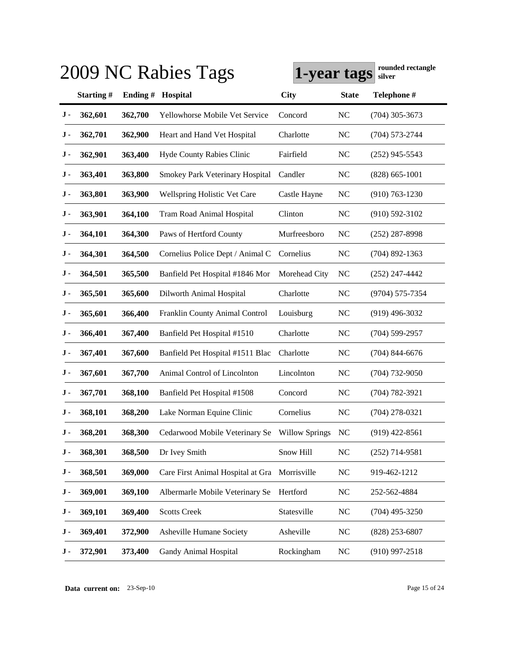|           |           |          | 2009 NC Rabies Tags                           | 1-year tags   |                | rounded rectangle<br>silver |
|-----------|-----------|----------|-----------------------------------------------|---------------|----------------|-----------------------------|
|           | Starting# | Ending # | Hospital                                      | <b>City</b>   | <b>State</b>   | Telephone #                 |
| J -       | 362,601   | 362,700  | Yellowhorse Mobile Vet Service                | Concord       | <b>NC</b>      | $(704)$ 305-3673            |
| J -       | 362,701   | 362,900  | Heart and Hand Vet Hospital                   | Charlotte     | <b>NC</b>      | $(704) 573 - 2744$          |
| J -       | 362,901   | 363,400  | <b>Hyde County Rabies Clinic</b>              | Fairfield     | <b>NC</b>      | $(252)$ 945-5543            |
| J -       | 363,401   | 363,800  | Smokey Park Veterinary Hospital               | Candler       | <b>NC</b>      | $(828) 665 - 1001$          |
| J -       | 363,801   | 363,900  | <b>Wellspring Holistic Vet Care</b>           | Castle Hayne  | <b>NC</b>      | $(910) 763 - 1230$          |
| J -       | 363,901   | 364,100  | Tram Road Animal Hospital                     | Clinton       | <b>NC</b>      | $(910) 592 - 3102$          |
| J -       | 364,101   | 364,300  | Paws of Hertford County                       | Murfreesboro  | NC             | $(252)$ 287-8998            |
| J -       | 364,301   | 364,500  | Cornelius Police Dept / Animal C              | Cornelius     | <b>NC</b>      | $(704)$ 892-1363            |
| J -       | 364,501   | 365,500  | Banfield Pet Hospital #1846 Mor               | Morehead City | <b>NC</b>      | $(252)$ 247-4442            |
| J -       | 365,501   | 365,600  | Dilworth Animal Hospital                      | Charlotte     | <b>NC</b>      | (9704) 575-7354             |
| J -       | 365,601   | 366,400  | Franklin County Animal Control                | Louisburg     | <b>NC</b>      | $(919)$ 496-3032            |
| J -       | 366,401   | 367,400  | Banfield Pet Hospital #1510                   | Charlotte     | <b>NC</b>      | $(704)$ 599-2957            |
| J -       | 367,401   | 367,600  | Banfield Pet Hospital #1511 Blac              | Charlotte     | <b>NC</b>      | $(704)$ 844-6676            |
| J -       | 367,601   | 367,700  | Animal Control of Lincolnton                  | Lincolnton    | <b>NC</b>      | $(704)$ 732-9050            |
| J -       | 367,701   | 368,100  | Banfield Pet Hospital #1508                   | Concord       | <b>NC</b>      | $(704) 782 - 3921$          |
| J -       | 368,101   | 368,200  | Lake Norman Equine Clinic                     | Cornelius     | <b>NC</b>      | $(704)$ 278-0321            |
| J -       | 368,201   | 368,300  | Cedarwood Mobile Veterinary Se Willow Springs |               | N <sub>C</sub> | $(919)$ 422-8561            |
| J -       | 368,301   | 368,500  | Dr Ivey Smith                                 | Snow Hill     | NC             | $(252)$ 714-9581            |
| $\bf J$ - | 368,501   | 369,000  | Care First Animal Hospital at Gra Morrisville |               | NC             | 919-462-1212                |
| J -       | 369,001   | 369,100  | Albermarle Mobile Veterinary Se               | Hertford      | NC             | 252-562-4884                |
| J -       | 369,101   | 369,400  | <b>Scotts Creek</b>                           | Statesville   | <b>NC</b>      | $(704)$ 495-3250            |
| J -       | 369,401   | 372,900  | Asheville Humane Society                      | Asheville     | <b>NC</b>      | $(828)$ 253-6807            |
| J -       | 372,901   | 373,400  | Gandy Animal Hospital                         | Rockingham    | NC             | $(910)$ 997-2518            |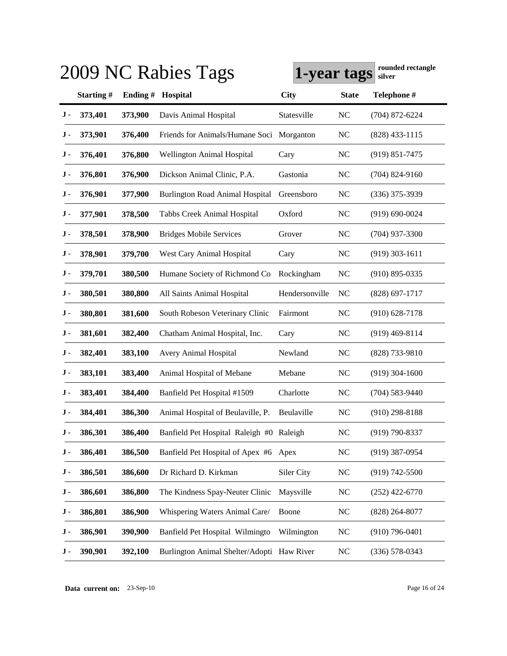|     |           |          | 2009 NC Rabies Tags                        | 1-year tags    |                | rounded rectangle<br>silver |
|-----|-----------|----------|--------------------------------------------|----------------|----------------|-----------------------------|
|     | Starting# | Ending # | Hospital                                   | <b>City</b>    | <b>State</b>   | Telephone #                 |
| J - | 373,401   | 373,900  | Davis Animal Hospital                      | Statesville    | <b>NC</b>      | $(704)$ 872-6224            |
| J - | 373,901   | 376,400  | Friends for Animals/Humane Soci            | Morganton      | <b>NC</b>      | $(828)$ 433-1115            |
| J - | 376,401   | 376,800  | <b>Wellington Animal Hospital</b>          | Cary           | <b>NC</b>      | $(919)$ 851-7475            |
| J - | 376,801   | 376,900  | Dickson Animal Clinic, P.A.                | Gastonia       | <b>NC</b>      | $(704)$ 824-9160            |
| J - | 376,901   | 377,900  | <b>Burlington Road Animal Hospital</b>     | Greensboro     | <b>NC</b>      | $(336)$ 375-3939            |
| J - | 377,901   | 378,500  | Tabbs Creek Animal Hospital                | Oxford         | <b>NC</b>      | $(919) 690 - 0024$          |
| J - | 378,501   | 378,900  | <b>Bridges Mobile Services</b>             | Grover         | <b>NC</b>      | $(704)$ 937-3300            |
| J - | 378,901   | 379,700  | West Cary Animal Hospital                  | Cary           | <b>NC</b>      | $(919)$ 303-1611            |
| J - | 379,701   | 380,500  | Humane Society of Richmond Co              | Rockingham     | <b>NC</b>      | $(910)$ 895-0335            |
| J - | 380,501   | 380,800  | All Saints Animal Hospital                 | Hendersonville | N <sub>C</sub> | $(828)$ 697-1717            |
| J - | 380,801   | 381,600  | South Robeson Veterinary Clinic            | Fairmont       | <b>NC</b>      | $(910)$ 628-7178            |
| J - | 381,601   | 382,400  | Chatham Animal Hospital, Inc.              | Cary           | <b>NC</b>      | $(919)$ 469-8114            |
| J - | 382,401   | 383,100  | Avery Animal Hospital                      | Newland        | <b>NC</b>      | $(828)$ 733-9810            |
| J - | 383,101   | 383,400  | Animal Hospital of Mebane                  | Mebane         | <b>NC</b>      | $(919)$ 304-1600            |
| J - | 383,401   | 384,400  | Banfield Pet Hospital #1509                | Charlotte      | <b>NC</b>      | $(704)$ 583-9440            |
| J - | 384,401   | 386,300  | Animal Hospital of Beulaville, P.          | Beulaville     | NC             | $(910)$ 298-8188            |
| J - | 386,301   | 386,400  | Banfield Pet Hospital Raleigh #0 Raleigh   |                | <b>NC</b>      | $(919) 790 - 8337$          |
| J - | 386,401   | 386,500  | Banfield Pet Hospital of Apex #6 Apex      |                | NC             | $(919)$ 387-0954            |
| J - | 386,501   | 386,600  | Dr Richard D. Kirkman                      | Siler City     | <b>NC</b>      | $(919) 742 - 5500$          |
| J - | 386,601   | 386,800  | The Kindness Spay-Neuter Clinic            | Maysville      | <b>NC</b>      | $(252)$ 422-6770            |
| J - | 386,801   | 386,900  | Whispering Waters Animal Care/             | Boone          | <b>NC</b>      | $(828)$ 264-8077            |
| J - | 386,901   | 390,900  | Banfield Pet Hospital Wilmingto            | Wilmington     | N <sub>C</sub> | $(910)$ 796-0401            |
| J - | 390,901   | 392,100  | Burlington Animal Shelter/Adopti Haw River |                | <b>NC</b>      | $(336) 578 - 0343$          |

**Data current on:** 23-Sep-10 Page 16 of 24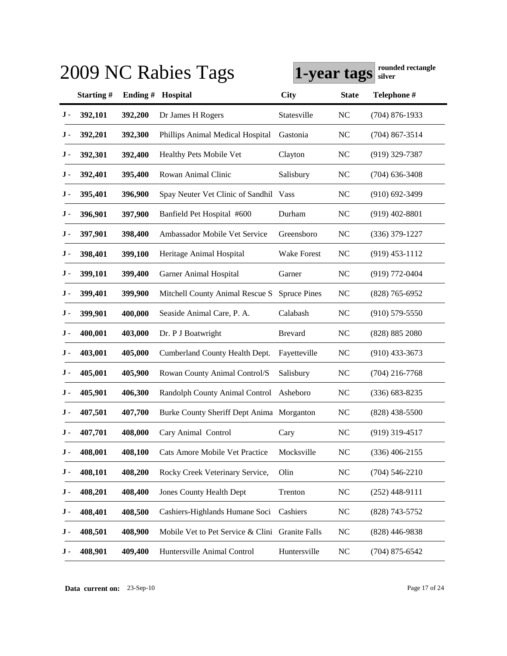|           |           |          | 2009 NC Rabies Tags                             | 1-year tags         |                | rounded rectangle<br>silver |
|-----------|-----------|----------|-------------------------------------------------|---------------------|----------------|-----------------------------|
|           | Starting# | Ending # | Hospital                                        | <b>City</b>         | <b>State</b>   | Telephone #                 |
| J -       | 392,101   | 392,200  | Dr James H Rogers                               | Statesville         | <b>NC</b>      | $(704)$ 876-1933            |
| J -       | 392,201   | 392,300  | Phillips Animal Medical Hospital                | Gastonia            | <b>NC</b>      | $(704)$ 867-3514            |
| J -       | 392,301   | 392,400  | Healthy Pets Mobile Vet                         | Clayton             | <b>NC</b>      | $(919)$ 329-7387            |
| J -       | 392,401   | 395,400  | Rowan Animal Clinic                             | Salisbury           | <b>NC</b>      | $(704)$ 636-3408            |
| J -       | 395,401   | 396,900  | Spay Neuter Vet Clinic of Sandhil Vass          |                     | <b>NC</b>      | $(910)$ 692-3499            |
| J -       | 396,901   | 397,900  | Banfield Pet Hospital #600                      | Durham              | NC             | $(919)$ 402-8801            |
| J -       | 397,901   | 398,400  | Ambassador Mobile Vet Service                   | Greensboro          | <b>NC</b>      | $(336)$ 379-1227            |
| J -       | 398,401   | 399,100  | Heritage Animal Hospital                        | Wake Forest         | <b>NC</b>      | $(919)$ 453-1112            |
| J -       | 399,101   | 399,400  | <b>Garner Animal Hospital</b>                   | Garner              | <b>NC</b>      | $(919) 772 - 0404$          |
| J -       | 399,401   | 399,900  | Mitchell County Animal Rescue S                 | <b>Spruce Pines</b> | <b>NC</b>      | $(828)$ 765-6952            |
| J -       | 399,901   | 400,000  | Seaside Animal Care, P. A.                      | Calabash            | <b>NC</b>      | $(910)$ 579-5550            |
| J -       | 400,001   | 403,000  | Dr. P J Boatwright                              | <b>Brevard</b>      | N <sub>C</sub> | (828) 885 2080              |
| J -       | 403,001   | 405,000  | Cumberland County Health Dept.                  | Fayetteville        | <b>NC</b>      | $(910)$ 433-3673            |
| J -       | 405,001   | 405,900  | Rowan County Animal Control/S                   | Salisbury           | <b>NC</b>      | $(704)$ 216-7768            |
| J -       | 405,901   | 406,300  | Randolph County Animal Control                  | Asheboro            | <b>NC</b>      | $(336) 683 - 8235$          |
| J -       | 407,501   | 407,700  | Burke County Sheriff Dept Anima Morganton       |                     | N <sub>C</sub> | $(828)$ 438-5500            |
| J -       | 407,701   | 408,000  | Cary Animal Control                             | Cary                | <b>NC</b>      | $(919)$ 319-4517            |
| J -       | 408,001   | 408,100  | Cats Amore Mobile Vet Practice                  | Mocksville          | <b>NC</b>      | $(336)$ 406-2155            |
| $\bf J$ - | 408,101   | 408,200  | Rocky Creek Veterinary Service,                 | Olin                | <b>NC</b>      | $(704) 546 - 2210$          |
| J -       | 408,201   | 408,400  | <b>Jones County Health Dept</b>                 | Trenton             | <b>NC</b>      | $(252)$ 448-9111            |
| J -       | 408,401   | 408,500  | Cashiers-Highlands Humane Soci                  | Cashiers            | <b>NC</b>      | (828) 743-5752              |
| J -       | 408,501   | 408,900  | Mobile Vet to Pet Service & Clini Granite Falls |                     | NC             | $(828)$ 446-9838            |
| J -       | 408,901   | 409,400  | Huntersville Animal Control                     | Huntersville        | NC             | $(704)$ 875-6542            |

**Data current on:** 23-Sep-10 Page 17 of 24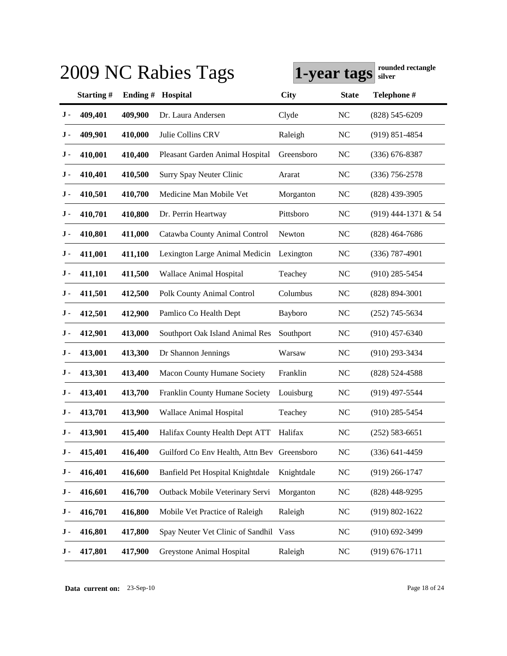|     |           |          | 2009 NC Rabies Tags                         | 1-year tags |                | rounded rectangle<br>silver |
|-----|-----------|----------|---------------------------------------------|-------------|----------------|-----------------------------|
|     | Starting# | Ending # | Hospital                                    | <b>City</b> | <b>State</b>   | Telephone #                 |
| J - | 409,401   | 409,900  | Dr. Laura Andersen                          | Clyde       | <b>NC</b>      | $(828)$ 545-6209            |
| J - | 409,901   | 410,000  | Julie Collins CRV                           | Raleigh     | <b>NC</b>      | $(919) 851 - 4854$          |
| J - | 410,001   | 410,400  | Pleasant Garden Animal Hospital             | Greensboro  | <b>NC</b>      | $(336)$ 676-8387            |
| J - | 410,401   | 410,500  | <b>Surry Spay Neuter Clinic</b>             | Ararat      | <b>NC</b>      | $(336)$ 756-2578            |
| J - | 410,501   | 410,700  | Medicine Man Mobile Vet                     | Morganton   | <b>NC</b>      | $(828)$ 439-3905            |
| J - | 410,701   | 410,800  | Dr. Perrin Heartway                         | Pittsboro   | <b>NC</b>      | (919) 444-1371 & 54         |
| J - | 410,801   | 411,000  | Catawba County Animal Control               | Newton      | <b>NC</b>      | $(828)$ 464-7686            |
| J - | 411,001   | 411,100  | Lexington Large Animal Medicin              | Lexington   | <b>NC</b>      | $(336)$ 787-4901            |
| J - | 411,101   | 411,500  | Wallace Animal Hospital                     | Teachey     | NC             | $(910)$ 285-5454            |
| J - | 411,501   | 412,500  | Polk County Animal Control                  | Columbus    | NC             | $(828) 894 - 3001$          |
| J - | 412,501   | 412,900  | Pamlico Co Health Dept                      | Bayboro     | <b>NC</b>      | $(252)$ 745-5634            |
| J - | 412,901   | 413,000  | Southport Oak Island Animal Res             | Southport   | <b>NC</b>      | $(910)$ 457-6340            |
| J - | 413,001   | 413,300  | Dr Shannon Jennings                         | Warsaw      | NC             | $(910)$ 293-3434            |
| J - | 413,301   | 413,400  | <b>Macon County Humane Society</b>          | Franklin    | <b>NC</b>      | $(828) 524 - 4588$          |
| J - | 413,401   | 413,700  | Franklin County Humane Society              | Louisburg   | <b>NC</b>      | $(919)$ 497-5544            |
| J - | 413,701   | 413,900  | Wallace Animal Hospital                     | Teachey     | N <sub>C</sub> | $(910)$ 285-5454            |
| J - | 413,901   | 415,400  | Halifax County Health Dept ATT              | Halifax     | <b>NC</b>      | $(252)$ 583-6651            |
| J - | 415,401   | 416,400  | Guilford Co Env Health, Attn Bev Greensboro |             | NC             | $(336) 641 - 4459$          |
| J - | 416,401   | 416,600  | Banfield Pet Hospital Knightdale            | Knightdale  | <b>NC</b>      | $(919)$ 266-1747            |
| J - | 416,601   | 416,700  | Outback Mobile Veterinary Servi             | Morganton   | <b>NC</b>      | $(828)$ 448-9295            |
| J - | 416,701   | 416,800  | Mobile Vet Practice of Raleigh              | Raleigh     | <b>NC</b>      | $(919) 802 - 1622$          |
| J - | 416,801   | 417,800  | Spay Neuter Vet Clinic of Sandhil Vass      |             | NC             | $(910)$ 692-3499            |
| J - | 417,801   | 417,900  | Greystone Animal Hospital                   | Raleigh     | <b>NC</b>      | $(919) 676 - 1711$          |

**Data current on:** 23-Sep-10 Page 18 of 24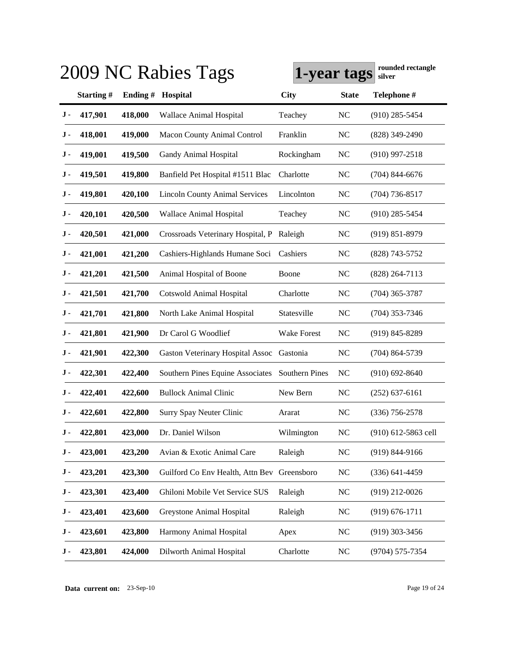|           |          |                                       |                     |                                                                                          | rounded rectangle<br>silver |
|-----------|----------|---------------------------------------|---------------------|------------------------------------------------------------------------------------------|-----------------------------|
| Starting# | Ending # | Hospital                              | <b>City</b>         | <b>State</b>                                                                             | Telephone #                 |
| 417,901   | 418,000  | Wallace Animal Hospital               | Teachey             | <b>NC</b>                                                                                | $(910)$ 285-5454            |
| 418,001   | 419,000  | <b>Macon County Animal Control</b>    | Franklin            | <b>NC</b>                                                                                | $(828)$ 349-2490            |
| 419,001   | 419,500  | Gandy Animal Hospital                 | Rockingham          | <b>NC</b>                                                                                | $(910)$ 997-2518            |
| 419,501   | 419,800  | Banfield Pet Hospital #1511 Blac      | Charlotte           | <b>NC</b>                                                                                | $(704)$ 844-6676            |
| 419,801   | 420,100  | <b>Lincoln County Animal Services</b> | Lincolnton          | <b>NC</b>                                                                                | $(704)$ 736-8517            |
| 420,101   | 420,500  | Wallace Animal Hospital               | Teachey             | <b>NC</b>                                                                                | $(910)$ 285-5454            |
| 420,501   | 421,000  | Crossroads Veterinary Hospital, P     | Raleigh             | <b>NC</b>                                                                                | $(919) 851 - 8979$          |
| 421,001   | 421,200  | Cashiers-Highlands Humane Soci        | Cashiers            | <b>NC</b>                                                                                | $(828)$ 743-5752            |
| 421,201   | 421,500  | Animal Hospital of Boone              | Boone               | <b>NC</b>                                                                                | $(828)$ 264-7113            |
| 421,501   | 421,700  | <b>Cotswold Animal Hospital</b>       | Charlotte           | <b>NC</b>                                                                                | $(704)$ 365-3787            |
| 421,701   | 421,800  | North Lake Animal Hospital            | Statesville         | N <sub>C</sub>                                                                           | $(704)$ 353-7346            |
| 421,801   | 421,900  | Dr Carol G Woodlief                   | <b>Wake Forest</b>  | NC                                                                                       | $(919)$ 845-8289            |
| 421,901   | 422,300  |                                       |                     | NC                                                                                       | $(704)$ 864-5739            |
| 422,301   | 422,400  | Southern Pines Equine Associates      | Southern Pines      | <b>NC</b>                                                                                | $(910) 692 - 8640$          |
| 422,401   | 422,600  | <b>Bullock Animal Clinic</b>          | New Bern            | NC                                                                                       | $(252)$ 637-6161            |
| 422,601   | 422,800  | <b>Surry Spay Neuter Clinic</b>       | Ararat              | NC                                                                                       | $(336)$ 756-2578            |
| 422,801   | 423,000  | Dr. Daniel Wilson                     | Wilmington          | <b>NC</b>                                                                                | (910) 612-5863 cell         |
| 423,001   | 423,200  | Avian & Exotic Animal Care            | Raleigh             | NC                                                                                       | $(919) 844 - 9166$          |
| 423,201   | 423,300  |                                       |                     | NC                                                                                       | $(336)$ 641-4459            |
| 423,301   | 423,400  | Ghiloni Mobile Vet Service SUS        | Raleigh             | NC                                                                                       | $(919)$ 212-0026            |
| 423,401   | 423,600  | Greystone Animal Hospital             | Raleigh             | NC                                                                                       | $(919) 676 - 1711$          |
| 423,601   | 423,800  | Harmony Animal Hospital               | Apex                | NC                                                                                       | $(919)$ 303-3456            |
| 423,801   | 424,000  | Dilworth Animal Hospital              | Charlotte           | $NC$                                                                                     | (9704) 575-7354             |
|           |          |                                       | 2009 NC Rabies Tags | Gaston Veterinary Hospital Assoc Gastonia<br>Guilford Co Env Health, Attn Bev Greensboro | 1-year tags                 |

**Data current on:** 23-Sep-10 Page 19 of 24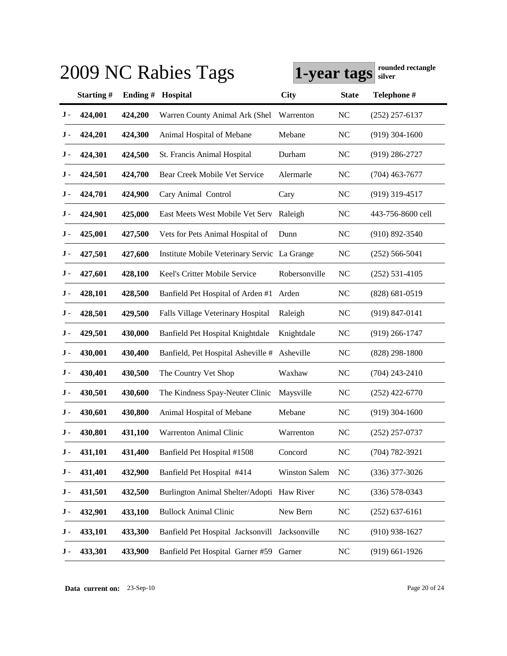|     |           |          | 2009 NC Rabies Tags                            | 1-year tags          |                | rounded rectangle<br>silver |
|-----|-----------|----------|------------------------------------------------|----------------------|----------------|-----------------------------|
|     | Starting# | Ending # | Hospital                                       | <b>City</b>          | <b>State</b>   | Telephone #                 |
| J - | 424,001   | 424,200  | Warren County Animal Ark (Shel                 | Warrenton            | <b>NC</b>      | $(252)$ 257-6137            |
| J - | 424,201   | 424,300  | Animal Hospital of Mebane                      | Mebane               | <b>NC</b>      | $(919)$ 304-1600            |
| J - | 424,301   | 424,500  | St. Francis Animal Hospital                    | Durham               | <b>NC</b>      | $(919)$ 286-2727            |
| J - | 424,501   | 424,700  | Bear Creek Mobile Vet Service                  | Alermarle            | <b>NC</b>      | $(704)$ 463-7677            |
| J - | 424,701   | 424,900  | Cary Animal Control                            | Cary                 | <b>NC</b>      | $(919)$ 319-4517            |
| J - | 424,901   | 425,000  | East Meets West Mobile Vet Serv                | Raleigh              | <b>NC</b>      | 443-756-8600 cell           |
| J - | 425,001   | 427,500  | Vets for Pets Animal Hospital of               | Dunn                 | <b>NC</b>      | $(910) 892 - 3540$          |
| J - | 427,501   | 427,600  | Institute Mobile Veterinary Servic La Grange   |                      | <b>NC</b>      | $(252)$ 566-5041            |
| J - | 427,601   | 428,100  | Keel's Critter Mobile Service                  | Robersonville        | NC             | $(252)$ 531-4105            |
| J - | 428,101   | 428,500  | Banfield Pet Hospital of Arden #1 Arden        |                      | <b>NC</b>      | $(828) 681 - 0519$          |
| J - | 428,501   | 429,500  | Falls Village Veterinary Hospital              | Raleigh              | <b>NC</b>      | $(919) 847 - 0141$          |
| J - | 429,501   | 430,000  | Banfield Pet Hospital Knightdale               | Knightdale           | <b>NC</b>      | $(919)$ 266-1747            |
| J - | 430,001   | 430,400  | Banfield, Pet Hospital Asheville #             | Asheville            | <b>NC</b>      | $(828)$ 298-1800            |
| J - | 430,401   | 430,500  | The Country Vet Shop                           | Waxhaw               | <b>NC</b>      | $(704)$ 243-2410            |
| J - | 430,501   | 430,600  | The Kindness Spay-Neuter Clinic                | Maysville            | N <sub>C</sub> | $(252)$ 422-6770            |
| J - | 430,601   | 430,800  | Animal Hospital of Mebane                      | Mebane               | NC             | $(919)$ 304-1600            |
| J-  | 430,801   | 431,100  | Warrenton Animal Clinic                        | Warrenton            | <b>NC</b>      | $(252)$ 257-0737            |
| J - | 431,101   | 431,400  | Banfield Pet Hospital #1508                    | Concord              | NC             | $(704) 782 - 3921$          |
| J-  | 431,401   | 432,900  | Banfield Pet Hospital #414                     | <b>Winston Salem</b> | $NC$           | $(336)$ 377-3026            |
| J - | 431,501   | 432,500  | Burlington Animal Shelter/Adopti Haw River     |                      | $NC$           | $(336) 578 - 0343$          |
| J - | 432,901   | 433,100  | <b>Bullock Animal Clinic</b>                   | New Bern             | $NC$           | $(252)$ 637-6161            |
| J - | 433,101   | 433,300  | Banfield Pet Hospital Jacksonvill Jacksonville |                      | $NC$           | $(910)$ 938-1627            |
| J - | 433,301   | 433,900  | Banfield Pet Hospital Garner #59 Garner        |                      | <b>NC</b>      | $(919)$ 661-1926            |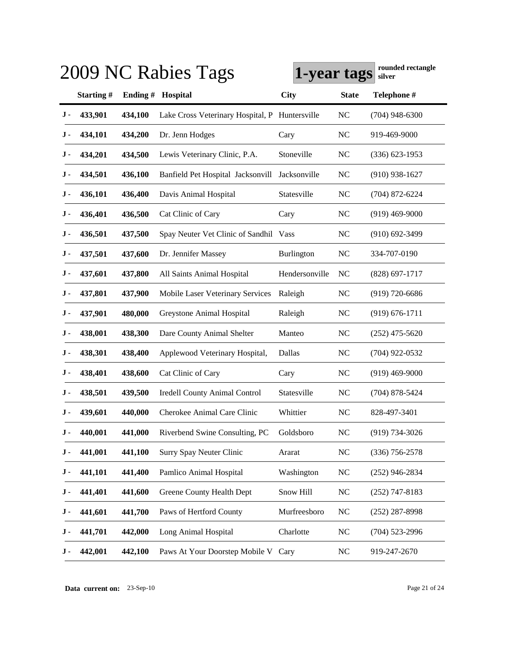|     |           |          | 2009 NC Rabies Tags                            | 1-year tags    |                | rounded rectangle<br>silver |
|-----|-----------|----------|------------------------------------------------|----------------|----------------|-----------------------------|
|     | Starting# | Ending # | Hospital                                       | <b>City</b>    | <b>State</b>   | Telephone #                 |
| J - | 433,901   | 434,100  | Lake Cross Veterinary Hospital, P Huntersville |                | <b>NC</b>      | $(704)$ 948-6300            |
| J - | 434,101   | 434,200  | Dr. Jenn Hodges                                | Cary           | <b>NC</b>      | 919-469-9000                |
| J - | 434,201   | 434,500  | Lewis Veterinary Clinic, P.A.                  | Stoneville     | <b>NC</b>      | $(336)$ 623-1953            |
| J - | 434,501   | 436,100  | Banfield Pet Hospital Jacksonvill              | Jacksonville   | <b>NC</b>      | $(910)$ 938-1627            |
| J - | 436,101   | 436,400  | Davis Animal Hospital                          | Statesville    | <b>NC</b>      | $(704)$ 872-6224            |
| J - | 436,401   | 436,500  | Cat Clinic of Cary                             | Cary           | N <sub>C</sub> | $(919)$ 469-9000            |
| J - | 436,501   | 437,500  | Spay Neuter Vet Clinic of Sandhil Vass         |                | N <sub>C</sub> | $(910)$ 692-3499            |
| J - | 437,501   | 437,600  | Dr. Jennifer Massey                            | Burlington     | <b>NC</b>      | 334-707-0190                |
| J - | 437,601   | 437,800  | All Saints Animal Hospital                     | Hendersonville | N <sub>C</sub> | $(828)$ 697-1717            |
| J - | 437,801   | 437,900  | Mobile Laser Veterinary Services               | Raleigh        | <b>NC</b>      | $(919)$ 720-6686            |
| J - | 437,901   | 480,000  | Greystone Animal Hospital                      | Raleigh        | <b>NC</b>      | $(919) 676 - 1711$          |
| J - | 438,001   | 438,300  | Dare County Animal Shelter                     | Manteo         | <b>NC</b>      | $(252)$ 475-5620            |
| J - | 438,301   | 438,400  | Applewood Veterinary Hospital,                 | Dallas         | N <sub>C</sub> | $(704)$ 922-0532            |
| J - | 438,401   | 438,600  | Cat Clinic of Cary                             | Cary           | NC             | $(919)$ 469-9000            |
| J - | 438,501   | 439,500  | <b>Iredell County Animal Control</b>           | Statesville    | NC             | $(704)$ 878-5424            |
| J - | 439,601   | 440,000  | Cherokee Animal Care Clinic                    | Whittier       | <b>NC</b>      | 828-497-3401                |
| J - | 440,001   | 441,000  | Riverbend Swine Consulting, PC                 | Goldsboro      | N <sub>C</sub> | (919) 734-3026              |
| J - | 441,001   | 441,100  | <b>Surry Spay Neuter Clinic</b>                | Ararat         | NC             | $(336)$ 756-2578            |
| J - | 441,101   | 441,400  | Pamlico Animal Hospital                        | Washington     | <b>NC</b>      | $(252)$ 946-2834            |
| J - | 441,401   | 441,600  | Greene County Health Dept                      | Snow Hill      | NC             | $(252)$ 747-8183            |
| J - | 441,601   | 441,700  | Paws of Hertford County                        | Murfreesboro   | NC             | $(252)$ 287-8998            |
| J - | 441,701   | 442,000  | Long Animal Hospital                           | Charlotte      | NC             | $(704)$ 523-2996            |
| J - | 442,001   | 442,100  | Paws At Your Doorstep Mobile V Cary            |                | <b>NC</b>      | 919-247-2670                |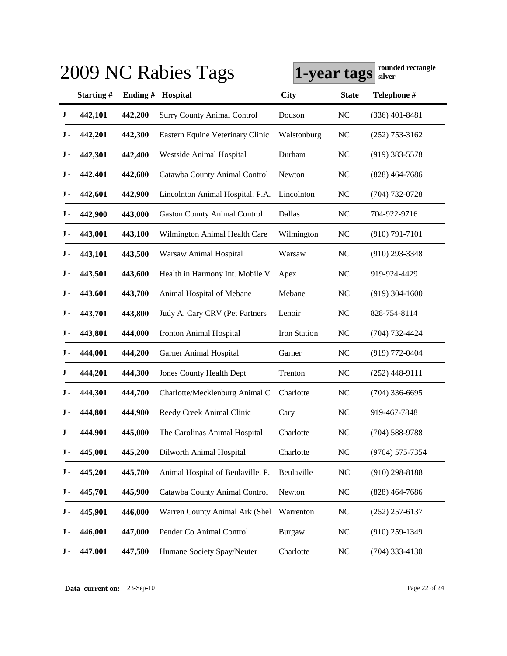|           |           |          | 2009 NC Rabies Tags                 | 1-year tags   |                | rounded rectangle<br>silver |
|-----------|-----------|----------|-------------------------------------|---------------|----------------|-----------------------------|
|           | Starting# | Ending # | Hospital                            | <b>City</b>   | <b>State</b>   | Telephone #                 |
| J -       | 442,101   | 442,200  | <b>Surry County Animal Control</b>  | Dodson        | N <sub>C</sub> | $(336)$ 401-8481            |
| J -       | 442,201   | 442,300  | Eastern Equine Veterinary Clinic    | Walstonburg   | <b>NC</b>      | $(252)$ 753-3162            |
| J -       | 442,301   | 442,400  | Westside Animal Hospital            | Durham        | <b>NC</b>      | $(919)$ 383-5578            |
| J -       | 442,401   | 442,600  | Catawba County Animal Control       | Newton        | <b>NC</b>      | $(828)$ 464-7686            |
| J -       | 442,601   | 442,900  | Lincolnton Animal Hospital, P.A.    | Lincolnton    | NC             | $(704) 732 - 0728$          |
| J -       | 442,900   | 443,000  | <b>Gaston County Animal Control</b> | Dallas        | <b>NC</b>      | 704-922-9716                |
| J -       | 443,001   | 443,100  | Wilmington Animal Health Care       | Wilmington    | <b>NC</b>      | $(910) 791 - 7101$          |
| J -       | 443,101   | 443,500  | Warsaw Animal Hospital              | Warsaw        | <b>NC</b>      | $(910)$ 293-3348            |
| J -       | 443,501   | 443,600  | Health in Harmony Int. Mobile V     | Apex          | N <sub>C</sub> | 919-924-4429                |
| J -       | 443,601   | 443,700  | Animal Hospital of Mebane           | Mebane        | <b>NC</b>      | $(919)$ 304-1600            |
| J -       | 443,701   | 443,800  | Judy A. Cary CRV (Pet Partners      | Lenoir        | NC             | 828-754-8114                |
| J -       | 443,801   | 444,000  | Ironton Animal Hospital             | Iron Station  | NC             | $(704) 732 - 4424$          |
| J -       | 444,001   | 444,200  | Garner Animal Hospital              | Garner        | <b>NC</b>      | $(919) 772 - 0404$          |
| J -       | 444,201   | 444,300  | <b>Jones County Health Dept</b>     | Trenton       | NC             | $(252)$ 448-9111            |
| J -       | 444,301   | 444,700  | Charlotte/Mecklenburg Animal C      | Charlotte     | <b>NC</b>      | $(704)$ 336-6695            |
| J -       | 444,801   | 444,900  | Reedy Creek Animal Clinic           | Cary          | NC             | 919-467-7848                |
| J -       | 444,901   | 445,000  | The Carolinas Animal Hospital       | Charlotte     | <b>NC</b>      | $(704)$ 588-9788            |
| J -       | 445,001   | 445,200  | Dilworth Animal Hospital            | Charlotte     | NC             | (9704) 575-7354             |
| $\bf J$ - | 445,201   | 445,700  | Animal Hospital of Beulaville, P.   | Beulaville    | <b>NC</b>      | $(910)$ 298-8188            |
| J -       | 445,701   | 445,900  | Catawba County Animal Control       | Newton        | <b>NC</b>      | $(828)$ 464-7686            |
| J -       | 445,901   | 446,000  | Warren County Animal Ark (Shel      | Warrenton     | <b>NC</b>      | $(252)$ 257-6137            |
| J -       | 446,001   | 447,000  | Pender Co Animal Control            | <b>Burgaw</b> | <b>NC</b>      | $(910)$ 259-1349            |
| J -       | 447,001   | 447,500  | Humane Society Spay/Neuter          | Charlotte     | <b>NC</b>      | $(704)$ 333-4130            |

**Data current on:** 23-Sep-10 Page 22 of 24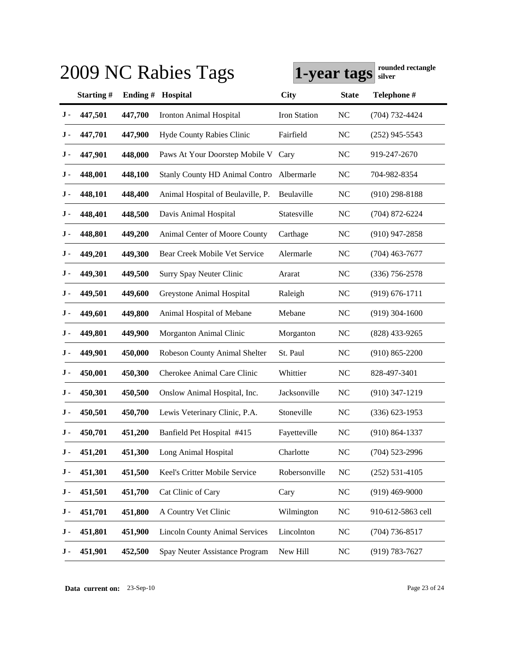|     |           |          | 2009 NC Rabies Tags                   | 1-year tags   |                | rounded rectangle<br>silver |
|-----|-----------|----------|---------------------------------------|---------------|----------------|-----------------------------|
|     | Starting# | Ending # | Hospital                              | <b>City</b>   | <b>State</b>   | Telephone #                 |
| J - | 447,501   | 447,700  | <b>Ironton Animal Hospital</b>        | Iron Station  | <b>NC</b>      | (704) 732-4424              |
| J - | 447,701   | 447,900  | Hyde County Rabies Clinic             | Fairfield     | <b>NC</b>      | $(252)$ 945-5543            |
| J - | 447,901   | 448,000  | Paws At Your Doorstep Mobile V        | Cary          | <b>NC</b>      | 919-247-2670                |
| J - | 448,001   | 448,100  | <b>Stanly County HD Animal Contro</b> | Albermarle    | <b>NC</b>      | 704-982-8354                |
| J - | 448,101   | 448,400  | Animal Hospital of Beulaville, P.     | Beulaville    | <b>NC</b>      | $(910)$ 298-8188            |
| J - | 448,401   | 448,500  | Davis Animal Hospital                 | Statesville   | N <sub>C</sub> | $(704)$ 872-6224            |
| J - | 448,801   | 449,200  | Animal Center of Moore County         | Carthage      | <b>NC</b>      | $(910)$ 947-2858            |
| J - | 449,201   | 449,300  | Bear Creek Mobile Vet Service         | Alermarle     | <b>NC</b>      | $(704)$ 463-7677            |
| J - | 449,301   | 449,500  | <b>Surry Spay Neuter Clinic</b>       | Ararat        | <b>NC</b>      | $(336)$ 756-2578            |
| J - | 449,501   | 449,600  | <b>Greystone Animal Hospital</b>      | Raleigh       | <b>NC</b>      | $(919) 676 - 1711$          |
| J - | 449,601   | 449,800  | Animal Hospital of Mebane             | Mebane        | <b>NC</b>      | $(919)$ 304-1600            |
| J - | 449,801   | 449,900  | Morganton Animal Clinic               | Morganton     | <b>NC</b>      | $(828)$ 433-9265            |
| J - | 449,901   | 450,000  | Robeson County Animal Shelter         | St. Paul      | <b>NC</b>      | $(910) 865 - 2200$          |
| J - | 450,001   | 450,300  | Cherokee Animal Care Clinic           | Whittier      | NC             | 828-497-3401                |
| J - | 450,301   | 450,500  | Onslow Animal Hospital, Inc.          | Jacksonville  | <b>NC</b>      | $(910)$ 347-1219            |
| J - | 450,501   | 450,700  | Lewis Veterinary Clinic, P.A.         | Stoneville    | <b>NC</b>      | $(336)$ 623-1953            |
| J - | 450,701   | 451,200  | Banfield Pet Hospital #415            | Fayetteville  | <b>NC</b>      | $(910) 864 - 1337$          |
| J - | 451,201   | 451,300  | Long Animal Hospital                  | Charlotte     | NC             | $(704)$ 523-2996            |
| J - | 451,301   | 451,500  | Keel's Critter Mobile Service         | Robersonville | <b>NC</b>      | $(252) 531 - 4105$          |
| J - | 451,501   | 451,700  | Cat Clinic of Cary                    | Cary          | NC             | $(919)$ 469-9000            |
| J - | 451,701   | 451,800  | A Country Vet Clinic                  | Wilmington    | NC             | 910-612-5863 cell           |
| J - | 451,801   | 451,900  | <b>Lincoln County Animal Services</b> | Lincolnton    | NC             | $(704)$ 736-8517            |
| J - | 451,901   | 452,500  | Spay Neuter Assistance Program        | New Hill      | <b>NC</b>      | $(919) 783 - 7627$          |